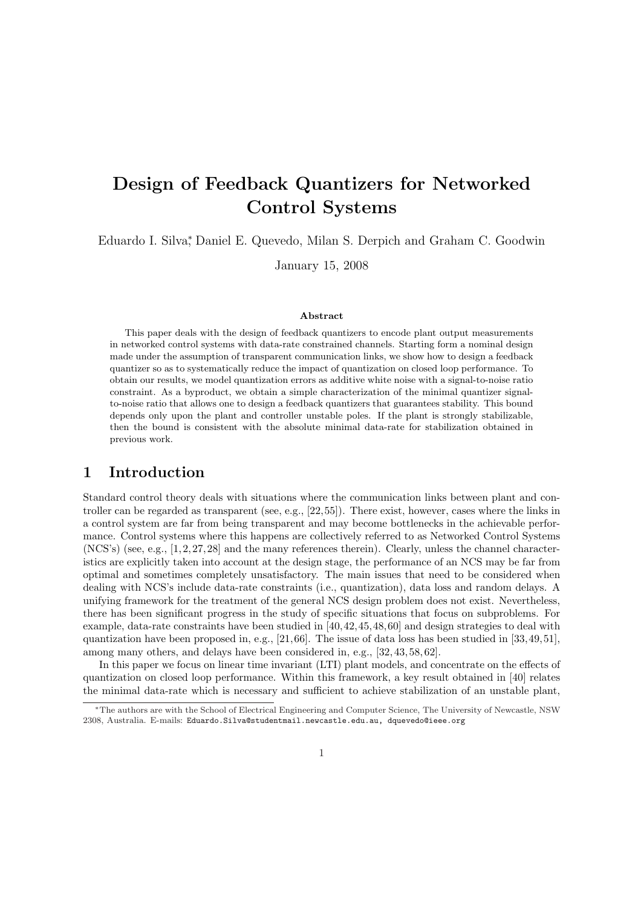# Design of Feedback Quantizers for Networked Control Systems

Eduardo I. Silva<sup>∗</sup> , Daniel E. Quevedo, Milan S. Derpich and Graham C. Goodwin

January 15, 2008

#### Abstract

This paper deals with the design of feedback quantizers to encode plant output measurements in networked control systems with data-rate constrained channels. Starting form a nominal design made under the assumption of transparent communication links, we show how to design a feedback quantizer so as to systematically reduce the impact of quantization on closed loop performance. To obtain our results, we model quantization errors as additive white noise with a signal-to-noise ratio constraint. As a byproduct, we obtain a simple characterization of the minimal quantizer signalto-noise ratio that allows one to design a feedback quantizers that guarantees stability. This bound depends only upon the plant and controller unstable poles. If the plant is strongly stabilizable, then the bound is consistent with the absolute minimal data-rate for stabilization obtained in previous work.

### 1 Introduction

Standard control theory deals with situations where the communication links between plant and controller can be regarded as transparent (see, e.g., [22,55]). There exist, however, cases where the links in a control system are far from being transparent and may become bottlenecks in the achievable performance. Control systems where this happens are collectively referred to as Networked Control Systems  $(NCS's)$  (see, e.g., [1, 2, 27, 28] and the many references therein). Clearly, unless the channel characteristics are explicitly taken into account at the design stage, the performance of an NCS may be far from optimal and sometimes completely unsatisfactory. The main issues that need to be considered when dealing with NCS's include data-rate constraints (i.e., quantization), data loss and random delays. A unifying framework for the treatment of the general NCS design problem does not exist. Nevertheless, there has been significant progress in the study of specific situations that focus on subproblems. For example, data-rate constraints have been studied in [40,42,45,48,60] and design strategies to deal with quantization have been proposed in, e.g., [21,66]. The issue of data loss has been studied in [33,49,51], among many others, and delays have been considered in, e.g., [32, 43, 58, 62].

In this paper we focus on linear time invariant (LTI) plant models, and concentrate on the effects of quantization on closed loop performance. Within this framework, a key result obtained in [40] relates the minimal data-rate which is necessary and sufficient to achieve stabilization of an unstable plant,

<sup>∗</sup>The authors are with the School of Electrical Engineering and Computer Science, The University of Newcastle, NSW 2308, Australia. E-mails: Eduardo.Silva@studentmail.newcastle.edu.au, dquevedo@ieee.org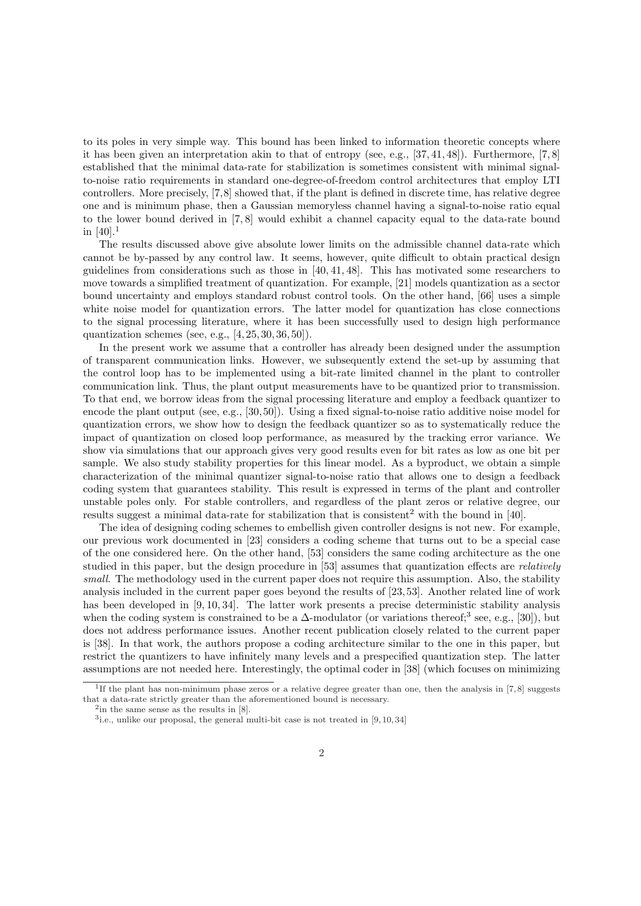to its poles in very simple way. This bound has been linked to information theoretic concepts where it has been given an interpretation akin to that of entropy (see, e.g., [37, 41, 48]). Furthermore, [7, 8] established that the minimal data-rate for stabilization is sometimes consistent with minimal signalto-noise ratio requirements in standard one-degree-of-freedom control architectures that employ LTI controllers. More precisely, [7,8] showed that, if the plant is defined in discrete time, has relative degree one and is minimum phase, then a Gaussian memoryless channel having a signal-to-noise ratio equal to the lower bound derived in [7, 8] would exhibit a channel capacity equal to the data-rate bound in  $[40].<sup>1</sup>$ 

The results discussed above give absolute lower limits on the admissible channel data-rate which cannot be by-passed by any control law. It seems, however, quite difficult to obtain practical design guidelines from considerations such as those in [40, 41, 48]. This has motivated some researchers to move towards a simplified treatment of quantization. For example, [21] models quantization as a sector bound uncertainty and employs standard robust control tools. On the other hand, [66] uses a simple white noise model for quantization errors. The latter model for quantization has close connections to the signal processing literature, where it has been successfully used to design high performance quantization schemes (see, e.g., [4, 25, 30, 36, 50]).

In the present work we assume that a controller has already been designed under the assumption of transparent communication links. However, we subsequently extend the set-up by assuming that the control loop has to be implemented using a bit-rate limited channel in the plant to controller communication link. Thus, the plant output measurements have to be quantized prior to transmission. To that end, we borrow ideas from the signal processing literature and employ a feedback quantizer to encode the plant output (see, e.g., [30, 50]). Using a fixed signal-to-noise ratio additive noise model for quantization errors, we show how to design the feedback quantizer so as to systematically reduce the impact of quantization on closed loop performance, as measured by the tracking error variance. We show via simulations that our approach gives very good results even for bit rates as low as one bit per sample. We also study stability properties for this linear model. As a byproduct, we obtain a simple characterization of the minimal quantizer signal-to-noise ratio that allows one to design a feedback coding system that guarantees stability. This result is expressed in terms of the plant and controller unstable poles only. For stable controllers, and regardless of the plant zeros or relative degree, our results suggest a minimal data-rate for stabilization that is consistent<sup>2</sup> with the bound in [40].

The idea of designing coding schemes to embellish given controller designs is not new. For example, our previous work documented in [23] considers a coding scheme that turns out to be a special case of the one considered here. On the other hand, [53] considers the same coding architecture as the one studied in this paper, but the design procedure in [53] assumes that quantization effects are relatively small. The methodology used in the current paper does not require this assumption. Also, the stability analysis included in the current paper goes beyond the results of [23, 53]. Another related line of work has been developed in [9, 10, 34]. The latter work presents a precise deterministic stability analysis when the coding system is constrained to be a  $\Delta$ -modulator (or variations thereof;<sup>3</sup> see, e.g., [30]), but does not address performance issues. Another recent publication closely related to the current paper is [38]. In that work, the authors propose a coding architecture similar to the one in this paper, but restrict the quantizers to have infinitely many levels and a prespecified quantization step. The latter assumptions are not needed here. Interestingly, the optimal coder in [38] (which focuses on minimizing

<sup>&</sup>lt;sup>1</sup>If the plant has non-minimum phase zeros or a relative degree greater than one, then the analysis in [7,8] suggests that a data-rate strictly greater than the aforementioned bound is necessary.

<sup>&</sup>lt;sup>2</sup>in the same sense as the results in [8].

<sup>&</sup>lt;sup>3</sup> i.e., unlike our proposal, the general multi-bit case is not treated in [9,10,34]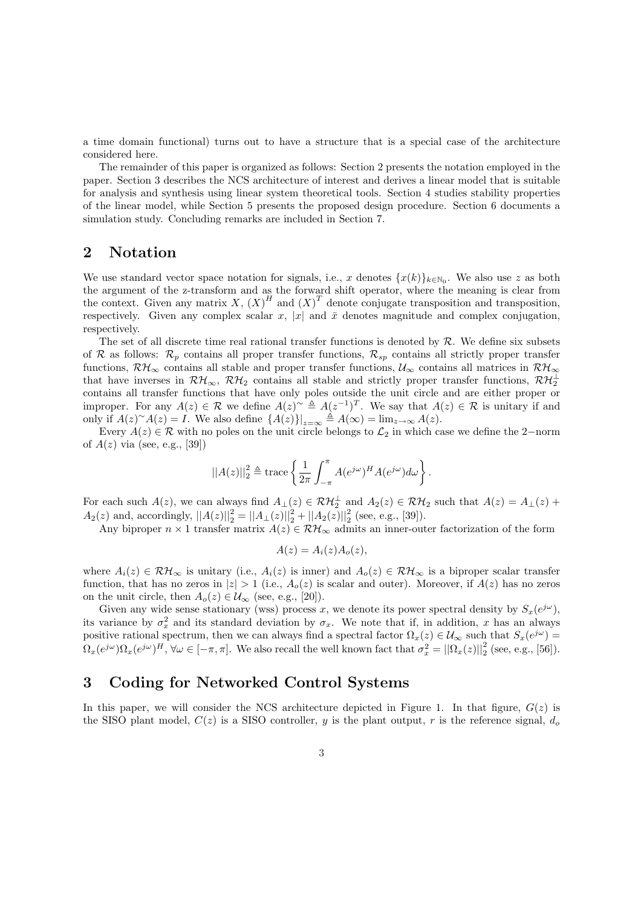a time domain functional) turns out to have a structure that is a special case of the architecture considered here.

The remainder of this paper is organized as follows: Section 2 presents the notation employed in the paper. Section 3 describes the NCS architecture of interest and derives a linear model that is suitable for analysis and synthesis using linear system theoretical tools. Section 4 studies stability properties of the linear model, while Section 5 presents the proposed design procedure. Section 6 documents a simulation study. Concluding remarks are included in Section 7.

### 2 Notation

We use standard vector space notation for signals, i.e., x denotes  $\{x(k)\}_{k\in\mathbb{N}_0}$ . We also use z as both the argument of the z-transform and as the forward shift operator, where the meaning is clear from the context. Given any matrix X,  $(X)^H$  and  $(X)^T$  denote conjugate transposition and transposition, respectively. Given any complex scalar x, |x| and  $\bar{x}$  denotes magnitude and complex conjugation, respectively.

The set of all discrete time real rational transfer functions is denoted by  $\mathcal{R}$ . We define six subsets of R as follows:  $\mathcal{R}_p$  contains all proper transfer functions,  $\mathcal{R}_{sp}$  contains all strictly proper transfer functions,  $\mathcal{RH}_{\infty}$  contains all stable and proper transfer functions,  $\mathcal{U}_{\infty}$  contains all matrices in  $\mathcal{RH}_{\infty}$ that have inverses in  $\mathcal{RH}_{\infty}$ ,  $\mathcal{RH}_2$  contains all stable and strictly proper transfer functions,  $\mathcal{RH}_2^{\perp}$ contains all transfer functions that have only poles outside the unit circle and are either proper or improper. For any  $A(z) \in \mathcal{R}$  we define  $A(z) \sim \triangleq A(z^{-1})^T$ . We say that  $A(z) \in \mathcal{R}$  is unitary if and only if  $A(z)^\sim A(z) = I$ . We also define  $\{A(z)\}\big|_{z=\infty} \triangleq A(\infty) = \lim_{z\to\infty} A(z)$ .

Every  $A(z) \in \mathcal{R}$  with no poles on the unit circle belongs to  $\mathcal{L}_2$  in which case we define the 2-norm of  $A(z)$  via (see, e.g., [39])

$$
||A(z)||_2^2 \triangleq \operatorname{trace}\left\{\frac{1}{2\pi} \int_{-\pi}^{\pi} A(e^{j\omega})^H A(e^{j\omega}) d\omega\right\}.
$$

For each such  $A(z)$ , we can always find  $A_{\perp}(z) \in \mathcal{RH}_2^{\perp}$  and  $A_2(z) \in \mathcal{RH}_2$  such that  $A(z) = A_{\perp}(z) +$  $A_2(z)$  and, accordingly,  $||A(z)||_2^2 = ||A_{\perp}(z)||_2^2 + ||A_2(z)||_2^2$  (see, e.g., [39]).

Any biproper  $n \times 1$  transfer matrix  $A(z) \in \mathcal{RH}_{\infty}$  admits an inner-outer factorization of the form

$$
A(z) = A_i(z) A_o(z),
$$

where  $A_i(z) \in \mathcal{RH}_{\infty}$  is unitary (i.e.,  $A_i(z)$  is inner) and  $A_o(z) \in \mathcal{RH}_{\infty}$  is a biproper scalar transfer function, that has no zeros in  $|z| > 1$  (i.e.,  $A_o(z)$  is scalar and outer). Moreover, if  $A(z)$  has no zeros on the unit circle, then  $A_o(z) \in \mathcal{U}_{\infty}$  (see, e.g., [20]).

Given any wide sense stationary (wss) process x, we denote its power spectral density by  $S_x(e^{j\omega})$ , its variance by  $\sigma_x^2$  and its standard deviation by  $\sigma_x$ . We note that if, in addition, x has an always positive rational spectrum, then we can always find a spectral factor  $\Omega_x(z) \in \mathcal{U}_{\infty}$  such that  $S_x(e^{j\omega}) =$  $\Omega_x(e^{j\omega})\Omega_x(e^{j\omega})^H$ ,  $\forall \omega \in [-\pi, \pi]$ . We also recall the well known fact that  $\sigma_x^2 = ||\Omega_x(z)||_2^2$  (see, e.g., [56]).

# 3 Coding for Networked Control Systems

In this paper, we will consider the NCS architecture depicted in Figure 1. In that figure,  $G(z)$  is the SISO plant model,  $C(z)$  is a SISO controller, y is the plant output, r is the reference signal,  $d_o$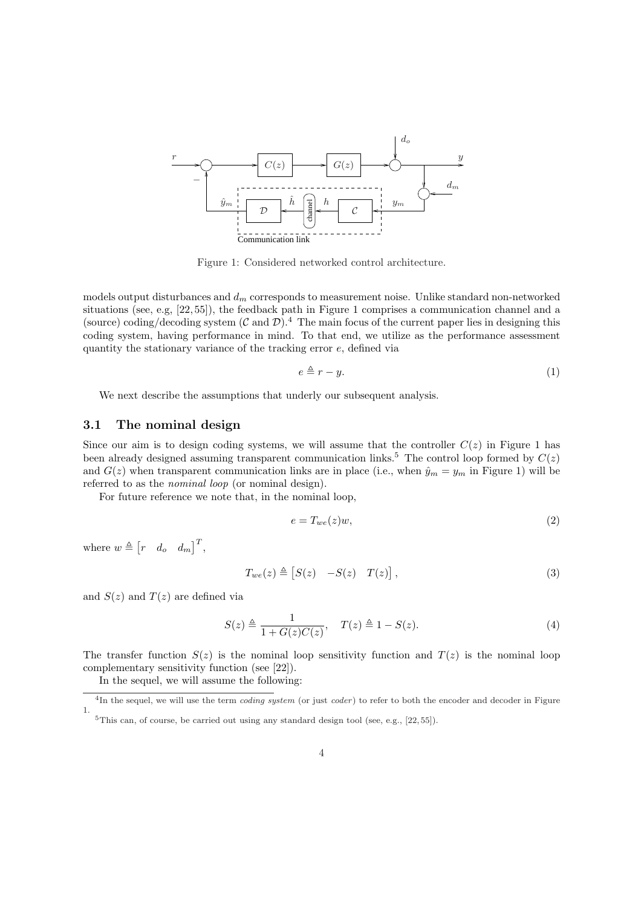

Figure 1: Considered networked control architecture.

models output disturbances and  $d_m$  corresponds to measurement noise. Unlike standard non-networked situations (see, e.g, [22, 55]), the feedback path in Figure 1 comprises a communication channel and a (source) coding/decoding system  $(C \text{ and } \mathcal{D})$ .<sup>4</sup> The main focus of the current paper lies in designing this coding system, having performance in mind. To that end, we utilize as the performance assessment quantity the stationary variance of the tracking error e, defined via

$$
e \triangleq r - y. \tag{1}
$$

We next describe the assumptions that underly our subsequent analysis.

#### 3.1 The nominal design

Since our aim is to design coding systems, we will assume that the controller  $C(z)$  in Figure 1 has been already designed assuming transparent communication links.<sup>5</sup> The control loop formed by  $C(z)$ and  $G(z)$  when transparent communication links are in place (i.e., when  $\hat{y}_m = y_m$  in Figure 1) will be referred to as the *nominal loop* (or nominal design).

For future reference we note that, in the nominal loop,

$$
e = T_{we}(z)w,\t\t(2)
$$

where  $w \triangleq$  $\begin{bmatrix} r & d_o & d_m \end{bmatrix}^T$ 

$$
T_{we}(z) \triangleq [S(z) - S(z) T(z)], \qquad (3)
$$

and  $S(z)$  and  $T(z)$  are defined via

$$
S(z) \triangleq \frac{1}{1 + G(z)C(z)}, \quad T(z) \triangleq 1 - S(z). \tag{4}
$$

The transfer function  $S(z)$  is the nominal loop sensitivity function and  $T(z)$  is the nominal loop complementary sensitivity function (see [22]).

In the sequel, we will assume the following:

 $^{4}$ In the sequel, we will use the term *coding system* (or just *coder*) to refer to both the encoder and decoder in Figure 1.

 $5$ This can, of course, be carried out using any standard design tool (see, e.g.,  $[22, 55]$ ).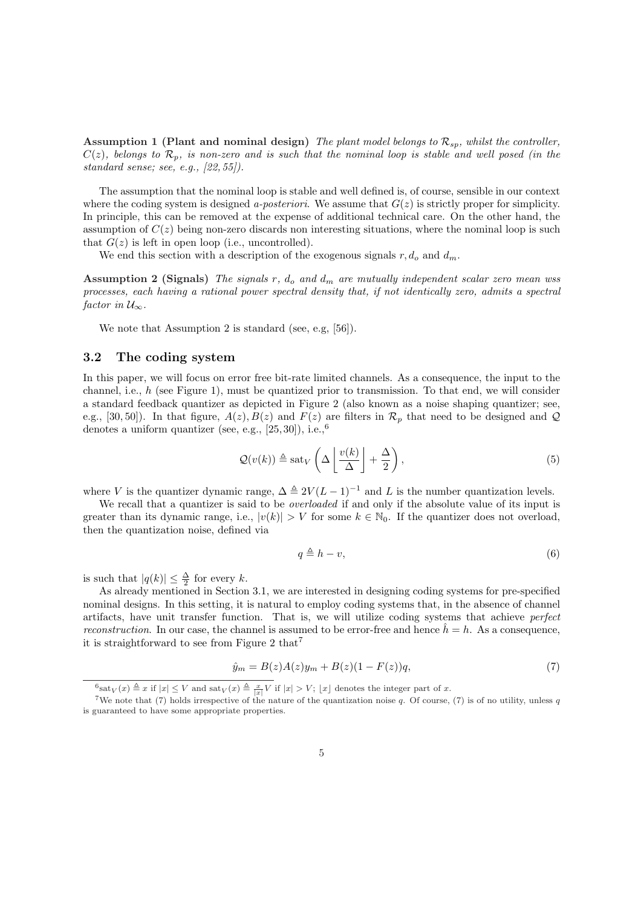Assumption 1 (Plant and nominal design) The plant model belongs to  $\mathcal{R}_{sp}$ , whilst the controller,  $C(z)$ , belongs to  $\mathcal{R}_p$ , is non-zero and is such that the nominal loop is stable and well posed (in the standard sense; see, e.g., [22, 55]).

The assumption that the nominal loop is stable and well defined is, of course, sensible in our context where the coding system is designed *a-posteriori*. We assume that  $G(z)$  is strictly proper for simplicity. In principle, this can be removed at the expense of additional technical care. On the other hand, the assumption of  $C(z)$  being non-zero discards non interesting situations, where the nominal loop is such that  $G(z)$  is left in open loop (i.e., uncontrolled).

We end this section with a description of the exogenous signals  $r, d_o$  and  $d_m$ .

Assumption 2 (Signals) The signals r,  $d_o$  and  $d_m$  are mutually independent scalar zero mean wss processes, each having a rational power spectral density that, if not identically zero, admits a spectral factor in  $\mathcal{U}_{\infty}$ .

We note that Assumption 2 is standard (see, e.g, [56]).

#### 3.2 The coding system

In this paper, we will focus on error free bit-rate limited channels. As a consequence, the input to the channel, i.e.,  $h$  (see Figure 1), must be quantized prior to transmission. To that end, we will consider a standard feedback quantizer as depicted in Figure 2 (also known as a noise shaping quantizer; see, e.g., [30, 50]). In that figure,  $A(z)$ ,  $B(z)$  and  $F(z)$  are filters in  $\mathcal{R}_p$  that need to be designed and  $\mathcal Q$ denotes a uniform quantizer (see, e.g.,  $[25, 30]$ ), i.e.,  $^{6}$ 

$$
\mathcal{Q}(v(k)) \triangleq \text{sat}_{V}\left(\Delta\left\lfloor \frac{v(k)}{\Delta} \right\rfloor + \frac{\Delta}{2}\right),\tag{5}
$$

where V is the quantizer dynamic range,  $\Delta \triangleq 2V(L-1)^{-1}$  and L is the number quantization levels.

We recall that a quantizer is said to be *overloaded* if and only if the absolute value of its input is greater than its dynamic range, i.e.,  $|v(k)| > V$  for some  $k \in \mathbb{N}_0$ . If the quantizer does not overload, then the quantization noise, defined via

$$
q \triangleq h - v,\tag{6}
$$

is such that  $|q(k)| \leq \frac{\Delta}{2}$  for every k.

As already mentioned in Section 3.1, we are interested in designing coding systems for pre-specified nominal designs. In this setting, it is natural to employ coding systems that, in the absence of channel artifacts, have unit transfer function. That is, we will utilize coding systems that achieve perfect reconstruction. In our case, the channel is assumed to be error-free and hence  $\hat{h} = h$ . As a consequence, it is straightforward to see from Figure 2 that<sup>7</sup>

$$
\hat{y}_m = B(z)A(z)y_m + B(z)(1 - F(z))q,\tag{7}
$$

 $\delta_{\text{Sat}_V}(x) \triangleq x$  if  $|x| \leq V$  and  $\text{sat}_V(x) \triangleq \frac{x}{|x|}V$  if  $|x| > V$ ;  $\lfloor x \rfloor$  denotes the integer part of x.

<sup>&</sup>lt;sup>7</sup>We note that (7) holds irrespective of the nature of the quantization noise q. Of course, (7) is of no utility, unless q is guaranteed to have some appropriate properties.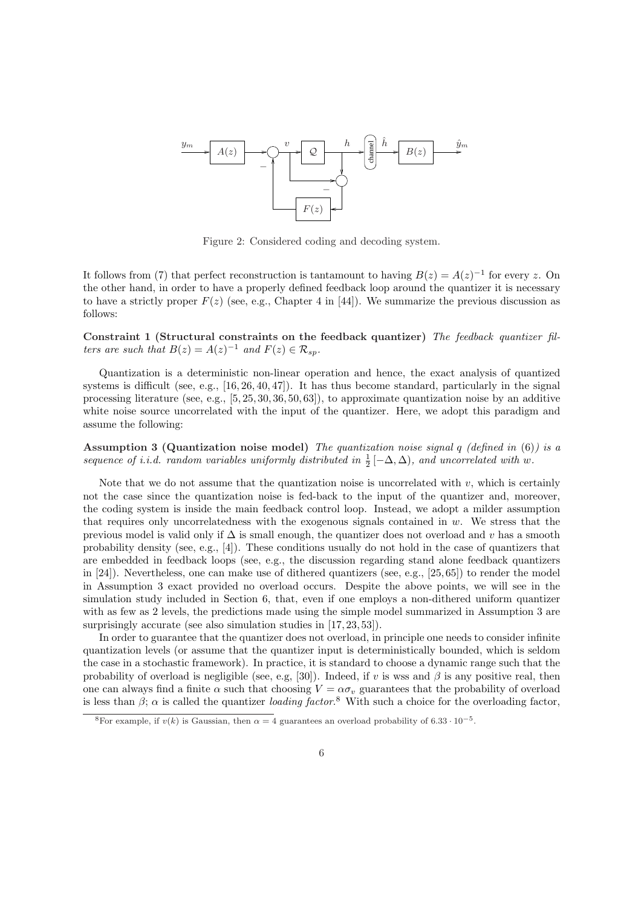

Figure 2: Considered coding and decoding system.

It follows from (7) that perfect reconstruction is tantamount to having  $B(z) = A(z)^{-1}$  for every z. On the other hand, in order to have a properly defined feedback loop around the quantizer it is necessary to have a strictly proper  $F(z)$  (see, e.g., Chapter 4 in [44]). We summarize the previous discussion as follows:

Constraint 1 (Structural constraints on the feedback quantizer) The feedback quantizer filters are such that  $B(z) = A(z)^{-1}$  and  $F(z) \in \mathcal{R}_{sp}$ .

Quantization is a deterministic non-linear operation and hence, the exact analysis of quantized systems is difficult (see, e.g.,  $[16, 26, 40, 47]$ ). It has thus become standard, particularly in the signal processing literature (see, e.g., [5, 25, 30, 36, 50, 63]), to approximate quantization noise by an additive white noise source uncorrelated with the input of the quantizer. Here, we adopt this paradigm and assume the following:

Assumption 3 (Quantization noise model) The quantization noise signal  $q$  (defined in (6)) is a sequence of i.i.d. random variables uniformly distributed in  $\frac{1}{2}[-\Delta, \Delta)$ , and uncorrelated with w.

Note that we do not assume that the quantization noise is uncorrelated with  $v$ , which is certainly not the case since the quantization noise is fed-back to the input of the quantizer and, moreover, the coding system is inside the main feedback control loop. Instead, we adopt a milder assumption that requires only uncorrelatedness with the exogenous signals contained in  $w$ . We stress that the previous model is valid only if  $\Delta$  is small enough, the quantizer does not overload and v has a smooth probability density (see, e.g., [4]). These conditions usually do not hold in the case of quantizers that are embedded in feedback loops (see, e.g., the discussion regarding stand alone feedback quantizers in [24]). Nevertheless, one can make use of dithered quantizers (see, e.g., [25, 65]) to render the model in Assumption 3 exact provided no overload occurs. Despite the above points, we will see in the simulation study included in Section 6, that, even if one employs a non-dithered uniform quantizer with as few as 2 levels, the predictions made using the simple model summarized in Assumption 3 are surprisingly accurate (see also simulation studies in [17, 23, 53]).

In order to guarantee that the quantizer does not overload, in principle one needs to consider infinite quantization levels (or assume that the quantizer input is deterministically bounded, which is seldom the case in a stochastic framework). In practice, it is standard to choose a dynamic range such that the probability of overload is negligible (see, e.g, [30]). Indeed, if v is wss and  $\beta$  is any positive real, then one can always find a finite  $\alpha$  such that choosing  $V = \alpha \sigma_v$  guarantees that the probability of overload is less than  $\beta$ ;  $\alpha$  is called the quantizer *loading factor*.<sup>8</sup> With such a choice for the overloading factor,

<sup>&</sup>lt;sup>8</sup>For example, if  $v(k)$  is Gaussian, then  $\alpha = 4$  guarantees an overload probability of 6.33 · 10<sup>-5</sup>.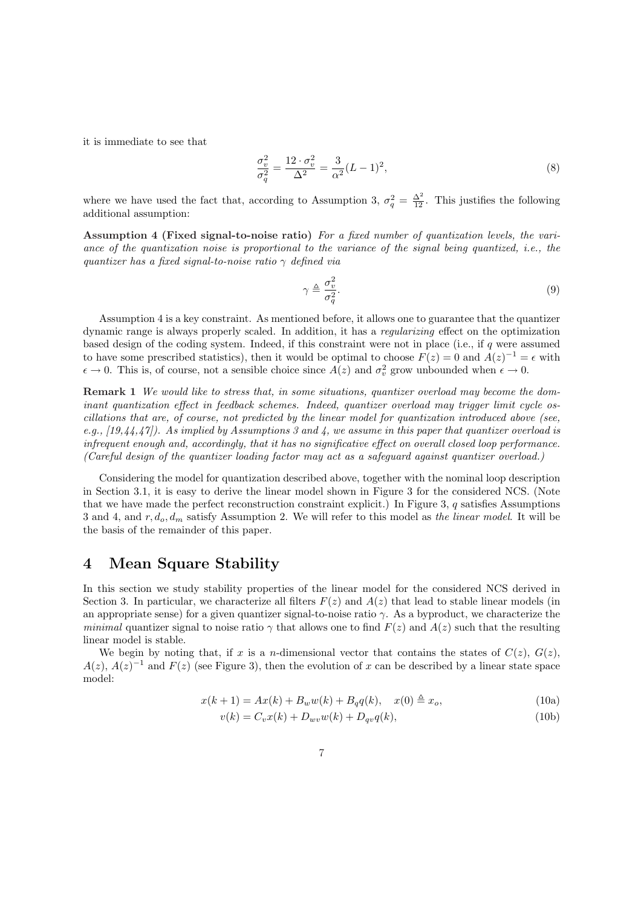it is immediate to see that

$$
\frac{\sigma_v^2}{\sigma_q^2} = \frac{12 \cdot \sigma_v^2}{\Delta^2} = \frac{3}{\alpha^2} (L - 1)^2,\tag{8}
$$

where we have used the fact that, according to Assumption 3,  $\sigma_q^2 = \frac{\Delta^2}{12}$ . This justifies the following additional assumption:

Assumption 4 (Fixed signal-to-noise ratio) For a fixed number of quantization levels, the variance of the quantization noise is proportional to the variance of the signal being quantized, i.e., the quantizer has a fixed signal-to-noise ratio  $\gamma$  defined via

$$
\gamma \triangleq \frac{\sigma_v^2}{\sigma_q^2}.\tag{9}
$$

Assumption 4 is a key constraint. As mentioned before, it allows one to guarantee that the quantizer dynamic range is always properly scaled. In addition, it has a regularizing effect on the optimization based design of the coding system. Indeed, if this constraint were not in place (i.e., if q were assumed to have some prescribed statistics), then it would be optimal to choose  $F(z) = 0$  and  $A(z)^{-1} = \epsilon$  with  $\epsilon \to 0$ . This is, of course, not a sensible choice since  $A(z)$  and  $\sigma_v^2$  grow unbounded when  $\epsilon \to 0$ .

Remark 1 We would like to stress that, in some situations, quantizer overload may become the dominant quantization effect in feedback schemes. Indeed, quantizer overload may trigger limit cycle oscillations that are, of course, not predicted by the linear model for quantization introduced above (see, e.g.,  $[19,44,47]$ . As implied by Assumptions 3 and 4, we assume in this paper that quantizer overload is infrequent enough and, accordingly, that it has no significative effect on overall closed loop performance. (Careful design of the quantizer loading factor may act as a safeguard against quantizer overload.)

Considering the model for quantization described above, together with the nominal loop description in Section 3.1, it is easy to derive the linear model shown in Figure 3 for the considered NCS. (Note that we have made the perfect reconstruction constraint explicit.) In Figure 3,  $q$  satisfies Assumptions 3 and 4, and  $r, d_o, d_m$  satisfy Assumption 2. We will refer to this model as the linear model. It will be the basis of the remainder of this paper.

### 4 Mean Square Stability

In this section we study stability properties of the linear model for the considered NCS derived in Section 3. In particular, we characterize all filters  $F(z)$  and  $A(z)$  that lead to stable linear models (in an appropriate sense) for a given quantizer signal-to-noise ratio  $\gamma$ . As a byproduct, we characterize the minimal quantizer signal to noise ratio  $\gamma$  that allows one to find  $F(z)$  and  $A(z)$  such that the resulting linear model is stable.

We begin by noting that, if x is a n-dimensional vector that contains the states of  $C(z)$ ,  $G(z)$ ,  $A(z)$ ,  $A(z)^{-1}$  and  $F(z)$  (see Figure 3), then the evolution of x can be described by a linear state space model:

$$
x(k+1) = Ax(k) + B_w w(k) + B_q q(k), \quad x(0) \triangleq x_o,
$$
\n(10a)

$$
v(k) = C_v x(k) + D_{wv} w(k) + D_{qv} q(k),
$$
\n(10b)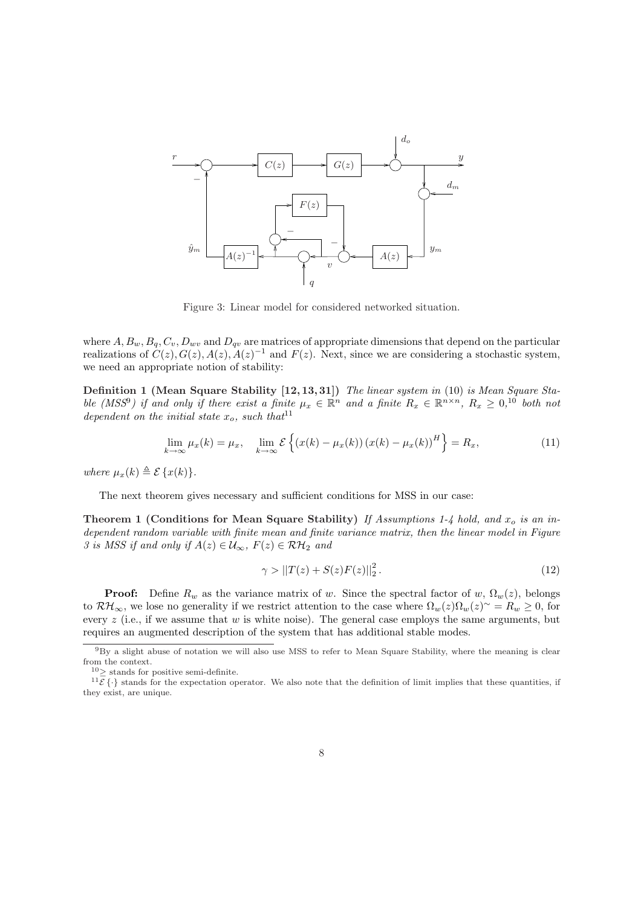

Figure 3: Linear model for considered networked situation.

where  $A, B_w, B_q, C_v, D_{wv}$  and  $D_{qv}$  are matrices of appropriate dimensions that depend on the particular realizations of  $C(z)$ ,  $G(z)$ ,  $A(z)$ ,  $A(z)^{-1}$  and  $F(z)$ . Next, since we are considering a stochastic system, we need an appropriate notion of stability:

Definition 1 (Mean Square Stability [12, 13, 31]) The linear system in (10) is Mean Square Stable (MSS<sup>9</sup>) if and only if there exist a finite  $\mu_x \in \mathbb{R}^n$  and a finite  $R_x \in \mathbb{R}^{n \times n}$ ,  $R_x \geq 0$ ,<sup>10</sup> both not dependent on the initial state  $x_o$ , such that<sup>11</sup>

$$
\lim_{k \to \infty} \mu_x(k) = \mu_x, \quad \lim_{k \to \infty} \mathcal{E}\left\{ (x(k) - \mu_x(k)) (x(k) - \mu_x(k))^H \right\} = R_x,
$$
\n(11)

where  $\mu_x(k) \triangleq \mathcal{E}\{x(k)\}.$ 

The next theorem gives necessary and sufficient conditions for MSS in our case:

Theorem 1 (Conditions for Mean Square Stability) If Assumptions 1-4 hold, and  $x_o$  is an independent random variable with finite mean and finite variance matrix, then the linear model in Figure 3 is MSS if and only if  $A(z) \in \mathcal{U}_{\infty}$ ,  $F(z) \in \mathcal{RH}_2$  and

$$
\gamma > ||T(z) + S(z)F(z)||_2^2. \tag{12}
$$

**Proof:** Define  $R_w$  as the variance matrix of w. Since the spectral factor of w,  $\Omega_w(z)$ , belongs to  $\mathcal{RH}_{\infty}$ , we lose no generality if we restrict attention to the case where  $\Omega_w(z)\Omega_w(z)^{\sim} = R_w \geq 0$ , for every  $z$  (i.e., if we assume that w is white noise). The general case employs the same arguments, but requires an augmented description of the system that has additional stable modes.

 $9By$  a slight abuse of notation we will also use MSS to refer to Mean Square Stability, where the meaning is clear from the context.

 $^{10}{\geq}$  stands for positive semi-definite.

 $^{11}\bar{\mathcal{E}}$  { $\cdot$ } stands for the expectation operator. We also note that the definition of limit implies that these quantities, if they exist, are unique.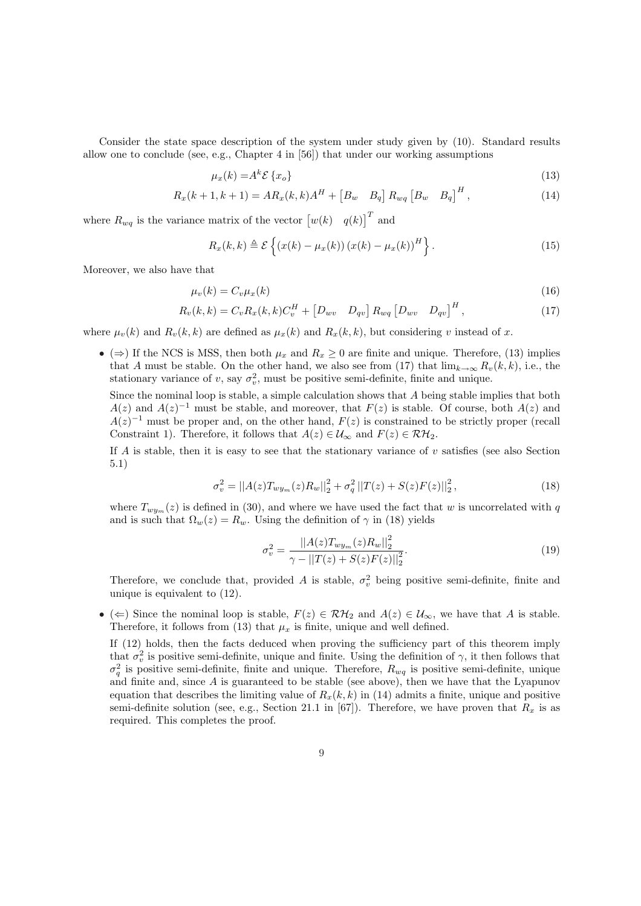Consider the state space description of the system under study given by (10). Standard results allow one to conclude (see, e.g., Chapter 4 in [56]) that under our working assumptions

$$
\mu_x(k) = A^k \mathcal{E}\{x_o\} \tag{13}
$$

$$
R_x(k+1, k+1) = AR_x(k, k)A^H + [B_w \quad B_q] \ R_{wq} [B_w \quad B_q]^H,
$$
\n(14)

where  $R_{wq}$  is the variance matrix of the vector  $\begin{bmatrix} w(k) & q(k) \end{bmatrix}^T$  and

$$
R_x(k,k) \triangleq \mathcal{E}\left\{(x(k) - \mu_x(k))(x(k) - \mu_x(k))^H\right\}.
$$
\n(15)

Moreover, we also have that

$$
\mu_v(k) = C_v \mu_x(k) \tag{16}
$$

$$
R_v(k,k) = C_v R_x(k,k) C_v^H + [D_{wv} \quad D_{qv}] R_{wq} [D_{wv} \quad D_{qv}]^H,
$$
\n(17)

where  $\mu_v(k)$  and  $R_v(k, k)$  are defined as  $\mu_x(k)$  and  $R_x(k, k)$ , but considering v instead of x.

• ( $\Rightarrow$ ) If the NCS is MSS, then both  $\mu_x$  and  $R_x \geq 0$  are finite and unique. Therefore, (13) implies that A must be stable. On the other hand, we also see from (17) that  $\lim_{k\to\infty} R_v(k, k)$ , i.e., the stationary variance of v, say  $\sigma_v^2$ , must be positive semi-definite, finite and unique.

Since the nominal loop is stable, a simple calculation shows that A being stable implies that both  $A(z)$  and  $A(z)^{-1}$  must be stable, and moreover, that  $F(z)$  is stable. Of course, both  $A(z)$  and  $A(z)^{-1}$  must be proper and, on the other hand,  $F(z)$  is constrained to be strictly proper (recall Constraint 1). Therefore, it follows that  $A(z) \in \mathcal{U}_{\infty}$  and  $F(z) \in \mathcal{RH}_2$ .

If A is stable, then it is easy to see that the stationary variance of  $v$  satisfies (see also Section 5.1)

$$
\sigma_v^2 = ||A(z)T_{wy_m}(z)R_w||_2^2 + \sigma_q^2 ||T(z) + S(z)F(z)||_2^2, \tag{18}
$$

where  $T_{wy_m}(z)$  is defined in (30), and where we have used the fact that w is uncorrelated with q and is such that  $\Omega_w(z) = R_w$ . Using the definition of  $\gamma$  in (18) yields

$$
\sigma_v^2 = \frac{||A(z)T_{wy_m}(z)R_w||_2^2}{\gamma - ||T(z) + S(z)F(z)||_2^2}.
$$
\n(19)

Therefore, we conclude that, provided A is stable,  $\sigma_v^2$  being positive semi-definite, finite and unique is equivalent to (12).

• ( $\Leftarrow$ ) Since the nominal loop is stable,  $F(z) \in \mathcal{RH}_2$  and  $A(z) \in \mathcal{U}_{\infty}$ , we have that A is stable. Therefore, it follows from (13) that  $\mu_x$  is finite, unique and well defined.

If (12) holds, then the facts deduced when proving the sufficiency part of this theorem imply that  $\sigma_v^2$  is positive semi-definite, unique and finite. Using the definition of  $\gamma$ , it then follows that  $\sigma_q^2$  is positive semi-definite, finite and unique. Therefore,  $R_{wq}$  is positive semi-definite, unique and finite and, since  $A$  is guaranteed to be stable (see above), then we have that the Lyapunov equation that describes the limiting value of  $R_x(k, k)$  in (14) admits a finite, unique and positive semi-definite solution (see, e.g., Section 21.1 in [67]). Therefore, we have proven that  $R_x$  is as required. This completes the proof.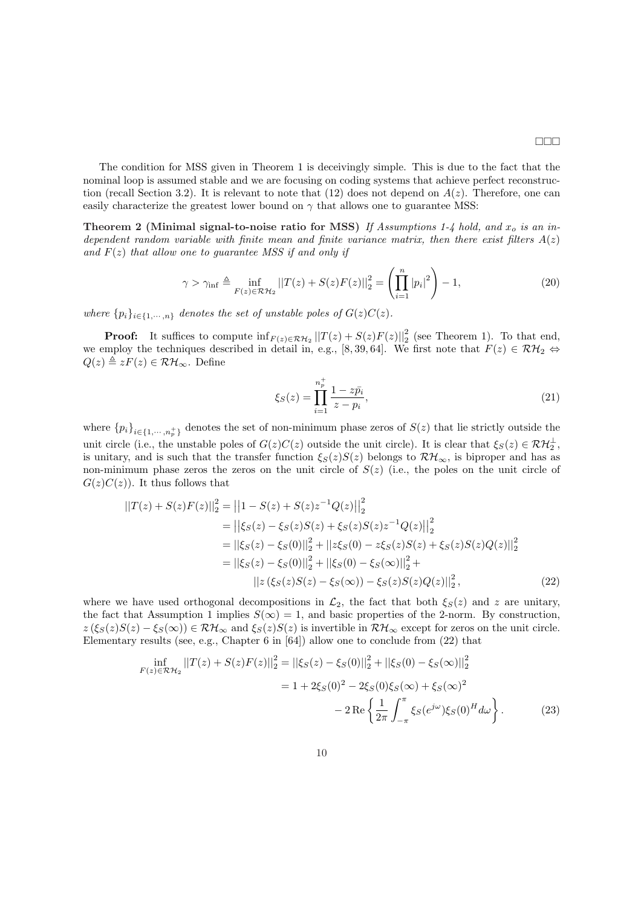The condition for MSS given in Theorem 1 is deceivingly simple. This is due to the fact that the nominal loop is assumed stable and we are focusing on coding systems that achieve perfect reconstruction (recall Section 3.2). It is relevant to note that  $(12)$  does not depend on  $A(z)$ . Therefore, one can easily characterize the greatest lower bound on  $\gamma$  that allows one to guarantee MSS:

Theorem 2 (Minimal signal-to-noise ratio for MSS) If Assumptions 1-4 hold, and  $x_o$  is an independent random variable with finite mean and finite variance matrix, then there exist filters  $A(z)$ and  $F(z)$  that allow one to guarantee MSS if and only if

$$
\gamma > \gamma_{\inf} \triangleq \inf_{F(z) \in \mathcal{RH}_2} ||T(z) + S(z)F(z)||_2^2 = \left(\prod_{i=1}^n |p_i|^2\right) - 1,\tag{20}
$$

where  $\{p_i\}_{i\in\{1,\cdots,n\}}$  denotes the set of unstable poles of  $G(z)C(z)$ .

**Proof:** It suffices to compute  $\inf_{F(z) \in \mathcal{RH}_2} ||T(z) + S(z)F(z)||_2^2$  (see Theorem 1). To that end, we employ the techniques described in detail in, e.g., [8, 39, 64]. We first note that  $F(z) \in \mathcal{RH}_2 \Leftrightarrow$  $Q(z) \triangleq zF(z) \in \mathcal{RH}_{\infty}$ . Define

$$
\xi_S(z) = \prod_{i=1}^{n_p^+} \frac{1 - z\bar{p_i}}{z - p_i},\tag{21}
$$

where  ${p_i}_{i\in{1,\cdots,n_p^+}}$  denotes the set of non-minimum phase zeros of  $S(z)$  that lie strictly outside the unit circle (i.e., the unstable poles of  $G(z)C(z)$  outside the unit circle). It is clear that  $\xi_S(z) \in \mathcal{RH}_2^{\perp}$ , is unitary, and is such that the transfer function  $\xi_S(z)S(z)$  belongs to  $\mathcal{RH}_{\infty}$ , is biproper and has as non-minimum phase zeros the zeros on the unit circle of  $S(z)$  (i.e., the poles on the unit circle of  $G(z)C(z)$ . It thus follows that

$$
||T(z) + S(z)F(z)||_2^2 = ||1 - S(z) + S(z)z^{-1}Q(z)||_2^2
$$
  
\n
$$
= ||\xi_S(z) - \xi_S(z)S(z) + \xi_S(z)S(z)z^{-1}Q(z)||_2^2
$$
  
\n
$$
= ||\xi_S(z) - \xi_S(0)||_2^2 + ||z\xi_S(0) - z\xi_S(z)S(z) + \xi_S(z)S(z)Q(z)||_2^2
$$
  
\n
$$
= ||\xi_S(z) - \xi_S(0)||_2^2 + ||\xi_S(0) - \xi_S(\infty)||_2^2 + ||z(\xi_S(z)S(z) - \xi_S(\infty)||_2^2,
$$
  
\n
$$
||z(\xi_S(z)S(z) - \xi_S(\infty)) - \xi_S(z)S(z)Q(z)||_2^2,
$$
\n(22)

where we have used orthogonal decompositions in  $\mathcal{L}_2$ , the fact that both  $\xi_S(z)$  and z are unitary, the fact that Assumption 1 implies  $S(\infty) = 1$ , and basic properties of the 2-norm. By construction,  $z(\xi_S(z)S(z) - \xi_S(\infty)) \in \mathcal{RH}_{\infty}$  and  $\xi_S(z)S(z)$  is invertible in  $\mathcal{RH}_{\infty}$  except for zeros on the unit circle. Elementary results (see, e.g., Chapter 6 in [64]) allow one to conclude from (22) that

$$
\inf_{F(z)\in\mathcal{RH}_2} ||T(z) + S(z)F(z)||_2^2 = ||\xi_S(z) - \xi_S(0)||_2^2 + ||\xi_S(0) - \xi_S(\infty)||_2^2
$$
  
= 1 + 2\xi\_S(0)^2 - 2\xi\_S(0)\xi\_S(\infty) + \xi\_S(\infty)^2  
- 2\operatorname{Re}\left\{\frac{1}{2\pi}\int\_{-\pi}^{\pi}\xi\_S(e^{j\omega})\xi\_S(0)^H d\omega\right\}. (23)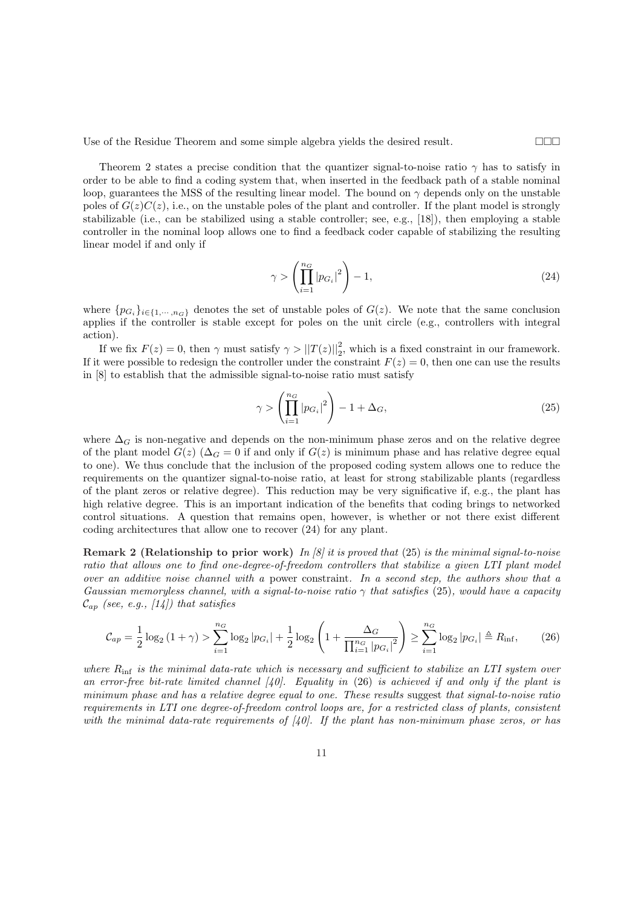Use of the Residue Theorem and some simple algebra yields the desired result.  $\Box \Box \Box$ 

Theorem 2 states a precise condition that the quantizer signal-to-noise ratio  $\gamma$  has to satisfy in order to be able to find a coding system that, when inserted in the feedback path of a stable nominal loop, guarantees the MSS of the resulting linear model. The bound on  $\gamma$  depends only on the unstable poles of  $G(z)C(z)$ , i.e., on the unstable poles of the plant and controller. If the plant model is strongly stabilizable (i.e., can be stabilized using a stable controller; see, e.g., [18]), then employing a stable controller in the nominal loop allows one to find a feedback coder capable of stabilizing the resulting linear model if and only if

$$
\gamma > \left(\prod_{i=1}^{n_G} |p_{G_i}|^2\right) - 1,\tag{24}
$$

where  $\{p_{G_i}\}_{i\in\{1,\dots,n_G\}}$  denotes the set of unstable poles of  $G(z)$ . We note that the same conclusion applies if the controller is stable except for poles on the unit circle (e.g., controllers with integral action).

If we fix  $F(z) = 0$ , then  $\gamma$  must satisfy  $\gamma > ||T(z)||_2^2$ , which is a fixed constraint in our framework. If it were possible to redesign the controller under the constraint  $F(z) = 0$ , then one can use the results in [8] to establish that the admissible signal-to-noise ratio must satisfy

$$
\gamma > \left(\prod_{i=1}^{n_G} |p_{G_i}|^2\right) - 1 + \Delta_G,\tag{25}
$$

where  $\Delta_G$  is non-negative and depends on the non-minimum phase zeros and on the relative degree of the plant model  $G(z)$  ( $\Delta_G = 0$  if and only if  $G(z)$  is minimum phase and has relative degree equal to one). We thus conclude that the inclusion of the proposed coding system allows one to reduce the requirements on the quantizer signal-to-noise ratio, at least for strong stabilizable plants (regardless of the plant zeros or relative degree). This reduction may be very significative if, e.g., the plant has high relative degree. This is an important indication of the benefits that coding brings to networked control situations. A question that remains open, however, is whether or not there exist different coding architectures that allow one to recover (24) for any plant.

**Remark 2 (Relationship to prior work)** In [8] it is proved that (25) is the minimal signal-to-noise ratio that allows one to find one-degree-of-freedom controllers that stabilize a given LTI plant model over an additive noise channel with a power constraint. In a second step, the authors show that a Gaussian memoryless channel, with a signal-to-noise ratio  $\gamma$  that satisfies (25), would have a capacity  $\mathcal{C}_{ap}$  (see, e.g., [14]) that satisfies

$$
\mathcal{C}_{ap} = \frac{1}{2} \log_2 \left( 1 + \gamma \right) > \sum_{i=1}^{n_G} \log_2 |p_{G_i}| + \frac{1}{2} \log_2 \left( 1 + \frac{\Delta_G}{\prod_{i=1}^{n_G} |p_{G_i}|^2} \right) \ge \sum_{i=1}^{n_G} \log_2 |p_{G_i}| \triangleq R_{\text{inf}},\tag{26}
$$

where  $R_{\text{inf}}$  is the minimal data-rate which is necessary and sufficient to stabilize an LTI system over an error-free bit-rate limited channel  $(40)$ . Equality in (26) is achieved if and only if the plant is minimum phase and has a relative degree equal to one. These results suggest that signal-to-noise ratio requirements in LTI one degree-of-freedom control loops are, for a restricted class of plants, consistent with the minimal data-rate requirements of  $(40)$ . If the plant has non-minimum phase zeros, or has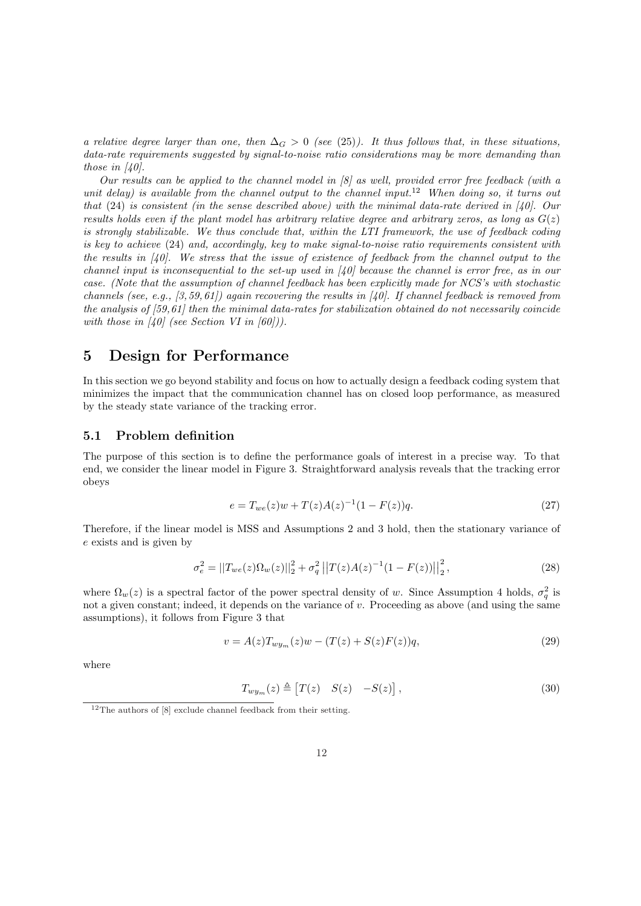a relative degree larger than one, then  $\Delta_G > 0$  (see (25)). It thus follows that, in these situations, data-rate requirements suggested by signal-to-noise ratio considerations may be more demanding than those in  $[40]$ .

Our results can be applied to the channel model in  $\beta$  as well, provided error free feedback (with a unit delay) is available from the channel output to the channel input.<sup>12</sup> When doing so, it turns out that  $(24)$  is consistent (in the sense described above) with the minimal data-rate derived in [40]. Our results holds even if the plant model has arbitrary relative degree and arbitrary zeros, as long as  $G(z)$ is strongly stabilizable. We thus conclude that, within the LTI framework, the use of feedback coding is key to achieve (24) and, accordingly, key to make signal-to-noise ratio requirements consistent with the results in [40]. We stress that the issue of existence of feedback from the channel output to the channel input is inconsequential to the set-up used in  $\left[40\right]$  because the channel is error free, as in our case. (Note that the assumption of channel feedback has been explicitly made for NCS's with stochastic channels (see, e.g.,  $(3, 59, 61)$ ) again recovering the results in [40]. If channel feedback is removed from the analysis of  $[59,61]$  then the minimal data-rates for stabilization obtained do not necessarily coincide with those in [40] (see Section VI in [60])).

### 5 Design for Performance

In this section we go beyond stability and focus on how to actually design a feedback coding system that minimizes the impact that the communication channel has on closed loop performance, as measured by the steady state variance of the tracking error.

### 5.1 Problem definition

The purpose of this section is to define the performance goals of interest in a precise way. To that end, we consider the linear model in Figure 3. Straightforward analysis reveals that the tracking error obeys

$$
e = T_{we}(z)w + T(z)A(z)^{-1}(1 - F(z))q.
$$
\n(27)

Therefore, if the linear model is MSS and Assumptions 2 and 3 hold, then the stationary variance of e exists and is given by

$$
\sigma_e^2 = ||T_{we}(z)\Omega_w(z)||_2^2 + \sigma_q^2 ||T(z)A(z)^{-1}(1 - F(z))||_2^2, \qquad (28)
$$

where  $\Omega_w(z)$  is a spectral factor of the power spectral density of w. Since Assumption 4 holds,  $\sigma_q^2$  is not a given constant; indeed, it depends on the variance of  $v$ . Proceeding as above (and using the same assumptions), it follows from Figure 3 that

$$
v = A(z)T_{wy_m}(z)w - (T(z) + S(z)F(z))q,
$$
\n(29)

where

$$
T_{wy_m}(z) \triangleq \begin{bmatrix} T(z) & S(z) & -S(z) \end{bmatrix},\tag{30}
$$

 $^{12}\mathrm{The}$  authors of [8] exclude channel feedback from their setting.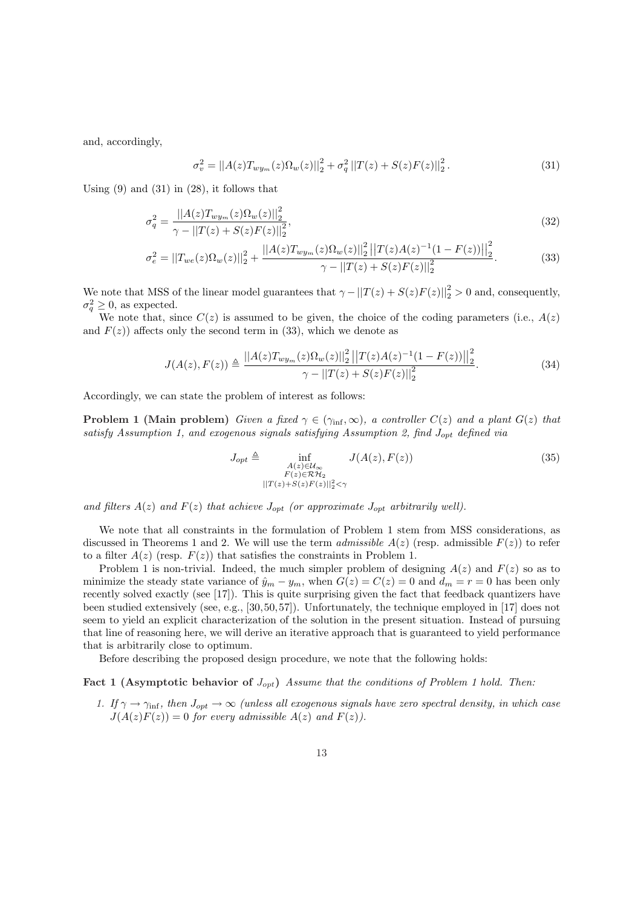and, accordingly,

$$
\sigma_v^2 = ||A(z)T_{wy_m}(z)\Omega_w(z)||_2^2 + \sigma_q^2 ||T(z) + S(z)F(z)||_2^2.
$$
\n(31)

Using  $(9)$  and  $(31)$  in  $(28)$ , it follows that

$$
\sigma_q^2 = \frac{||A(z)T_{wy_m}(z)\Omega_w(z)||_2^2}{\gamma - ||T(z) + S(z)F(z)||_2^2},\tag{32}
$$

$$
\sigma_e^2 = ||T_{we}(z)\Omega_w(z)||_2^2 + \frac{||A(z)T_{wy_m}(z)\Omega_w(z)||_2^2 ||T(z)A(z)^{-1}(1 - F(z))||_2^2}{\gamma - ||T(z) + S(z)F(z)||_2^2}.
$$
(33)

We note that MSS of the linear model guarantees that  $\gamma - ||T(z) + S(z)F(z)||_2^2 > 0$  and, consequently,  $\sigma_q^2 \geq 0$ , as expected.

We note that, since  $C(z)$  is assumed to be given, the choice of the coding parameters (i.e.,  $A(z)$ ) and  $F(z)$  affects only the second term in (33), which we denote as

$$
J(A(z), F(z)) \triangleq \frac{||A(z)T_{wy_m}(z)\Omega_w(z)||_2^2 ||T(z)A(z)^{-1}(1 - F(z))||_2^2}{\gamma - ||T(z) + S(z)F(z)||_2^2}.
$$
 (34)

Accordingly, we can state the problem of interest as follows:

**Problem 1 (Main problem)** Given a fixed  $\gamma \in (\gamma_{\text{inf}}, \infty)$ , a controller  $C(z)$  and a plant  $G(z)$  that satisfy Assumption 1, and exogenous signals satisfying Assumption 2, find  $J_{opt}$  defined via

$$
J_{opt} \triangleq \inf_{\substack{A(z)\in\mathcal{U}_{\infty}\\F(z)\in\mathcal{RH}_2\\||T(z)+S(z)F(z)||_2^2<\gamma}} J(A(z), F(z))
$$
(35)

and filters  $A(z)$  and  $F(z)$  that achieve  $J_{opt}$  (or approximate  $J_{opt}$  arbitrarily well).

We note that all constraints in the formulation of Problem 1 stem from MSS considerations, as discussed in Theorems 1 and 2. We will use the term *admissible A(z)* (resp. admissible  $F(z)$ ) to refer to a filter  $A(z)$  (resp.  $F(z)$ ) that satisfies the constraints in Problem 1.

Problem 1 is non-trivial. Indeed, the much simpler problem of designing  $A(z)$  and  $F(z)$  so as to minimize the steady state variance of  $\hat{y}_m - y_m$ , when  $G(z) = C(z) = 0$  and  $d_m = r = 0$  has been only recently solved exactly (see [17]). This is quite surprising given the fact that feedback quantizers have been studied extensively (see, e.g., [30,50, 57]). Unfortunately, the technique employed in [17] does not seem to yield an explicit characterization of the solution in the present situation. Instead of pursuing that line of reasoning here, we will derive an iterative approach that is guaranteed to yield performance that is arbitrarily close to optimum.

Before describing the proposed design procedure, we note that the following holds:

Fact 1 (Asymptotic behavior of  $J_{opt}$ ) Assume that the conditions of Problem 1 hold. Then:

1. If  $\gamma \to \gamma_{\rm inf}$ , then  $J_{opt} \to \infty$  (unless all exogenous signals have zero spectral density, in which case  $J(A(z)F(z)) = 0$  for every admissible  $A(z)$  and  $F(z)$ .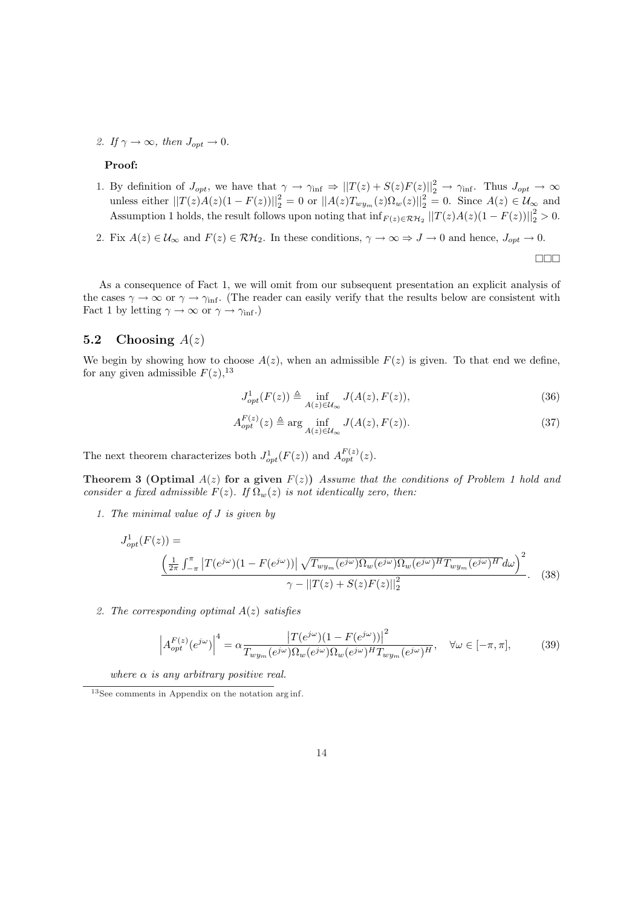2. If  $\gamma \to \infty$ , then  $J_{\text{opt}} \to 0$ .

#### Proof:

- 1. By definition of  $J_{opt}$ , we have that  $\gamma \to \gamma_{\rm inf} \Rightarrow ||T(z) + S(z)F(z)||_2^2 \to \gamma_{\rm inf}$ . Thus  $J_{opt} \to \infty$ unless either  $||T(z)A(z)(1 - F(z))||_2^2 = 0$  or  $||A(z)T_{wy_m}(z)\Omega_w(z)||_2^2 = 0$ . Since  $A(z) \in \mathcal{U}_{\infty}$  and Assumption 1 holds, the result follows upon noting that  $\inf_{F(z) \in \mathcal{RH}_2} ||T(z)A(z)(1 - F(z))||_2^2 > 0$ .
- 2. Fix  $A(z) \in \mathcal{U}_{\infty}$  and  $F(z) \in \mathcal{RH}_2$ . In these conditions,  $\gamma \to \infty \Rightarrow J \to 0$  and hence,  $J_{opt} \to 0$ .

 $\Box \Box \Box$ 

As a consequence of Fact 1, we will omit from our subsequent presentation an explicit analysis of the cases  $\gamma \to \infty$  or  $\gamma \to \gamma_{\rm inf}$ . (The reader can easily verify that the results below are consistent with Fact 1 by letting  $\gamma \to \infty$  or  $\gamma \to \gamma_{\rm inf}$ .)

### 5.2 Choosing  $A(z)$

We begin by showing how to choose  $A(z)$ , when an admissible  $F(z)$  is given. To that end we define, for any given admissible  $F(z)$ , <sup>13</sup>

$$
J_{opt}^1(F(z)) \triangleq \inf_{A(z)\in\mathcal{U}_{\infty}} J(A(z), F(z)),\tag{36}
$$

$$
A_{opt}^{F(z)}(z) \triangleq \arg\inf_{A(z)\in\mathcal{U}_{\infty}} J(A(z), F(z)).
$$
\n(37)

The next theorem characterizes both  $J_{opt}^1(F(z))$  and  $A_{opt}^{F(z)}(z)$ .

Theorem 3 (Optimal  $A(z)$  for a given  $F(z)$ ) Assume that the conditions of Problem 1 hold and consider a fixed admissible  $F(z)$ . If  $\Omega_w(z)$  is not identically zero, then:

1. The minimal value of J is given by

$$
J_{opt}^1(F(z)) = \frac{\left(\frac{1}{2\pi} \int_{-\pi}^{\pi} \left| T(e^{j\omega})(1 - F(e^{j\omega})) \right| \sqrt{T_{wy_m}(e^{j\omega})\Omega_w(e^{j\omega})\Omega_w(e^{j\omega})^H T_{wy_m}(e^{j\omega})^H} d\omega \right)^2}{\gamma - \left\| T(z) + S(z)F(z) \right\|_2^2}.
$$
 (38)

2. The corresponding optimal  $A(z)$  satisfies

$$
\left| A_{opt}^{F(z)}(e^{j\omega}) \right|^4 = \alpha \frac{\left| T(e^{j\omega})(1 - F(e^{j\omega})) \right|^2}{T_{wy_m}(e^{j\omega})\Omega_w(e^{j\omega})\Omega_w(e^{j\omega})^H T_{wy_m}(e^{j\omega})^H}, \quad \forall \omega \in [-\pi, \pi], \tag{39}
$$

where  $\alpha$  is any arbitrary positive real.

<sup>13</sup>See comments in Appendix on the notation arg inf.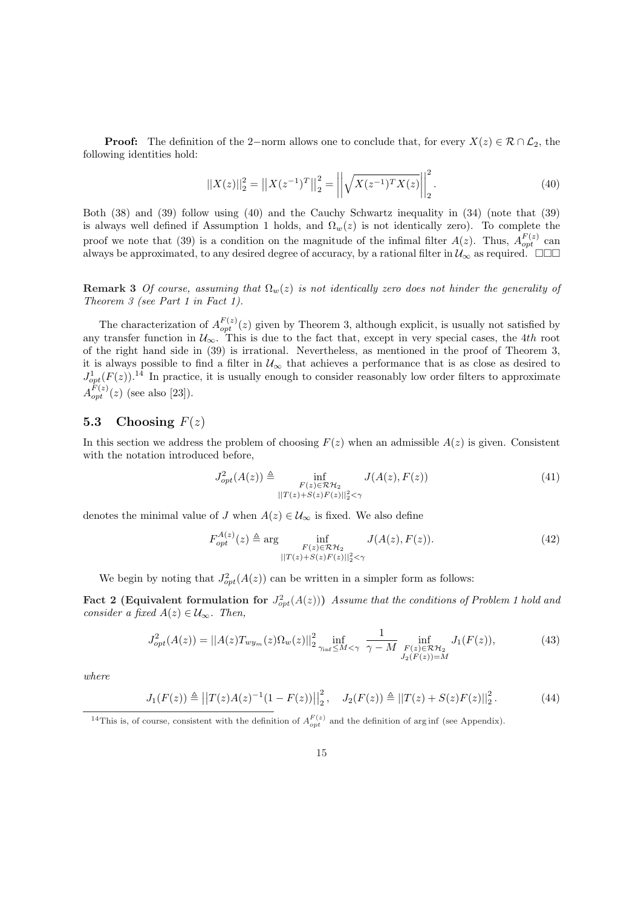**Proof:** The definition of the 2−norm allows one to conclude that, for every  $X(z) \in \mathcal{R} \cap \mathcal{L}_2$ , the following identities hold:

$$
||X(z)||_2^2 = ||X(z^{-1})^T||_2^2 = \left| \left| \sqrt{X(z^{-1})^T X(z)} \right| \right|_2^2.
$$
\n(40)

Both (38) and (39) follow using (40) and the Cauchy Schwartz inequality in (34) (note that (39) is always well defined if Assumption 1 holds, and  $\Omega_w(z)$  is not identically zero). To complete the proof we note that (39) is a condition on the magnitude of the infimal filter  $A(z)$ . Thus,  $A_{opt}^{F(z)}$  can always be approximated, to any desired degree of accuracy, by a rational filter in  $\mathcal{U}_{\infty}$  as required.  $\Box \Box \Box$ 

**Remark 3** Of course, assuming that  $\Omega_w(z)$  is not identically zero does not hinder the generality of Theorem 3 (see Part 1 in Fact 1).

The characterization of  $A_{opt}^{F(z)}(z)$  given by Theorem 3, although explicit, is usually not satisfied by any transfer function in  $\mathcal{U}_{\infty}$ . This is due to the fact that, except in very special cases, the 4th root of the right hand side in (39) is irrational. Nevertheless, as mentioned in the proof of Theorem 3, it is always possible to find a filter in  $\mathcal{U}_{\infty}$  that achieves a performance that is as close as desired to  $J_{opt}^1(F(z))$ .<sup>14</sup> In practice, it is usually enough to consider reasonably low order filters to approximate  $A_{opt}^{F(z)}(z)$  (see also [23]).

### 5.3 Choosing  $F(z)$

In this section we address the problem of choosing  $F(z)$  when an admissible  $A(z)$  is given. Consistent with the notation introduced before,

$$
J_{opt}^2(A(z)) \triangleq \inf_{\substack{F(z)\in\mathcal{RH}_2\\||T(z)+S(z)F(z)||_2^2<\gamma}} J(A(z), F(z))
$$
\n(41)

denotes the minimal value of J when  $A(z) \in \mathcal{U}_{\infty}$  is fixed. We also define

$$
F_{opt}^{A(z)}(z) \triangleq \arg\inf_{\substack{F(z)\in\mathcal{RH}_2\\||T(z)+S(z)F(z)||_2^2<\gamma}} J(A(z), F(z)).
$$
\n(42)

We begin by noting that  $J_{opt}^2(A(z))$  can be written in a simpler form as follows:

Fact 2 (Equivalent formulation for  $J^2_{opt}(A(z))$ ) Assume that the conditions of Problem 1 hold and consider a fixed  $A(z) \in \mathcal{U}_{\infty}$ . Then,

$$
J_{opt}^2(A(z)) = ||A(z)T_{wy_m}(z)\Omega_w(z)||_2^2 \inf_{\gamma_{\inf}\leq M<\gamma} \frac{1}{\gamma - M} \inf_{\substack{F(z)\in\mathcal{RH}_2\\J_2(F(z))=M}} J_1(F(z)),\tag{43}
$$

where

$$
J_1(F(z)) \triangleq ||T(z)A(z)^{-1}(1 - F(z))||_2^2, \quad J_2(F(z)) \triangleq ||T(z) + S(z)F(z)||_2^2. \tag{44}
$$

<sup>&</sup>lt;sup>14</sup>This is, of course, consistent with the definition of  $A_{opt}^{F(z)}$  and the definition of arg inf (see Appendix).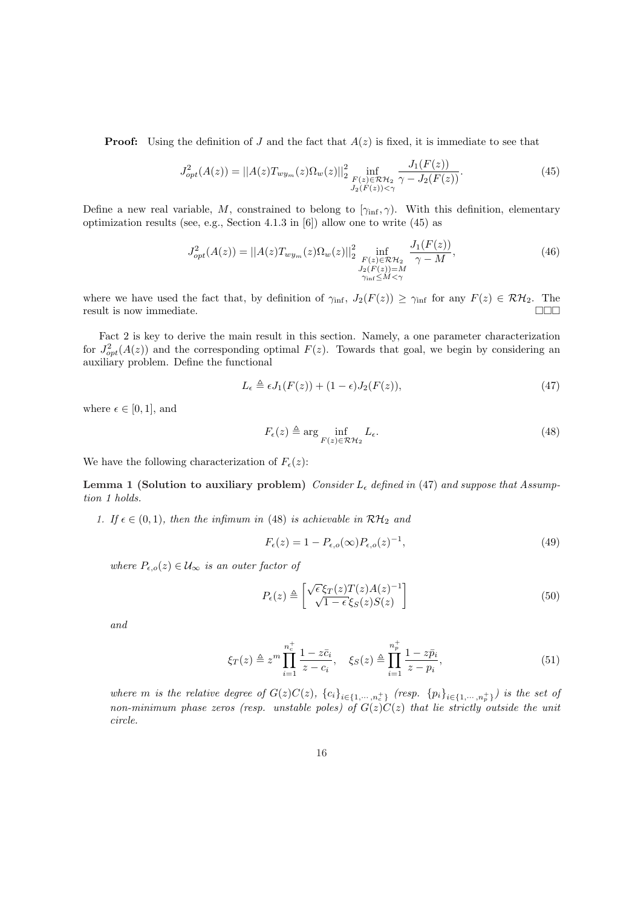**Proof:** Using the definition of J and the fact that  $A(z)$  is fixed, it is immediate to see that

$$
J_{opt}^2(A(z)) = ||A(z)T_{wy_m}(z)\Omega_w(z)||_{2}^2 \inf_{\substack{F(z)\in\mathcal{RH}_2\\J_2(F(z))<\gamma}} \frac{J_1(F(z))}{\gamma - J_2(F(z))}.
$$
 (45)

Define a new real variable, M, constrained to belong to  $[\gamma_{\text{inf}}, \gamma)$ . With this definition, elementary optimization results (see, e.g., Section 4.1.3 in [6]) allow one to write (45) as

$$
J_{opt}^{2}(A(z)) = ||A(z)T_{wy_m}(z)\Omega_w(z)||_2^2 \inf_{\substack{F(z)\in\mathcal{RH}_2\\J_2(F(z))=M\\ \gamma_{\text{inf}}\leq M<\gamma}} \frac{J_1(F(z))}{\gamma - M},\tag{46}
$$

where we have used the fact that, by definition of  $\gamma_{\text{inf}}$ ,  $J_2(F(z)) \geq \gamma_{\text{inf}}$  for any  $F(z) \in \mathcal{RH}_2$ . The result is now immediate.  $\Box$ 

Fact 2 is key to derive the main result in this section. Namely, a one parameter characterization for  $J_{opt}^2(A(z))$  and the corresponding optimal  $F(z)$ . Towards that goal, we begin by considering an auxiliary problem. Define the functional

$$
L_{\epsilon} \triangleq \epsilon J_1(F(z)) + (1 - \epsilon)J_2(F(z)),\tag{47}
$$

where  $\epsilon \in [0, 1]$ , and

$$
F_{\epsilon}(z) \triangleq \arg\inf_{F(z)\in\mathcal{RH}_2} L_{\epsilon}.\tag{48}
$$

We have the following characterization of  $F_{\epsilon}(z)$ :

Lemma 1 (Solution to auxiliary problem) Consider  $L_{\epsilon}$  defined in (47) and suppose that Assumption 1 holds.

1. If  $\epsilon \in (0,1)$ , then the infimum in (48) is achievable in  $\mathcal{RH}_2$  and

$$
F_{\epsilon}(z) = 1 - P_{\epsilon,o}(\infty) P_{\epsilon,o}(z)^{-1},\tag{49}
$$

where  $P_{\epsilon,o}(z) \in \mathcal{U}_{\infty}$  is an outer factor of

$$
P_{\epsilon}(z) \triangleq \begin{bmatrix} \sqrt{\epsilon} \xi_T(z) T(z) A(z)^{-1} \\ \sqrt{1 - \epsilon} \xi_S(z) S(z) \end{bmatrix}
$$
 (50)

and

$$
\xi_T(z) \triangleq z^m \prod_{i=1}^{n_c^+} \frac{1 - z\bar{c}_i}{z - c_i}, \quad \xi_S(z) \triangleq \prod_{i=1}^{n_p^+} \frac{1 - z\bar{p}_i}{z - p_i},\tag{51}
$$

where m is the relative degree of  $G(z)C(z)$ ,  ${c_i}_{i\in{1,\cdots,n_c^+}}$  (resp.  ${p_i}_{i\in{1,\cdots,n_p^+}}$ ) is the set of non-minimum phase zeros (resp. unstable poles) of  $G(z)C(z)$  that lie strictly outside the unit circle.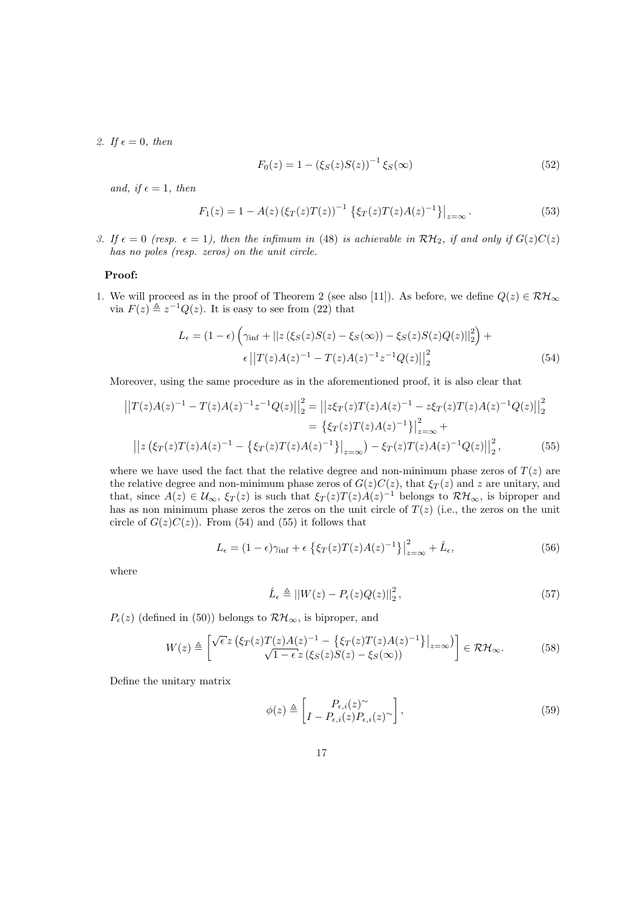2. If  $\epsilon = 0$ , then

$$
F_0(z) = 1 - (\xi_S(z)S(z))^{-1} \xi_S(\infty)
$$
\n(52)

and, if  $\epsilon = 1$ , then

$$
F_1(z) = 1 - A(z) \left(\xi_T(z) T(z)\right)^{-1} \left\{\xi_T(z) T(z) A(z)^{-1}\right\}\big|_{z=\infty}.
$$
 (53)

3. If  $\epsilon = 0$  (resp.  $\epsilon = 1$ ), then the infimum in (48) is achievable in  $\mathcal{RH}_2$ , if and only if  $G(z)C(z)$ has no poles (resp. zeros) on the unit circle.

#### Proof:

1. We will proceed as in the proof of Theorem 2 (see also [11]). As before, we define  $Q(z) \in \mathcal{RH}_{\infty}$ via  $F(z) \triangleq z^{-1}Q(z)$ . It is easy to see from (22) that

$$
L_{\epsilon} = (1 - \epsilon) \left( \gamma_{\inf} + ||z(\xi_{S}(z)S(z) - \xi_{S}(\infty)) - \xi_{S}(z)S(z)Q(z)||_{2}^{2} \right) + \epsilon ||T(z)A(z)^{-1} - T(z)A(z)^{-1}z^{-1}Q(z)||_{2}^{2}
$$
(54)

Moreover, using the same procedure as in the aforementioned proof, it is also clear that

$$
\left| |T(z)A(z)^{-1} - T(z)A(z)^{-1}z^{-1}Q(z)| \right|_2^2 = \left| |z\xi_T(z)T(z)A(z)^{-1} - z\xi_T(z)T(z)A(z)^{-1}Q(z)| \right|_2^2
$$
  
\n
$$
= \left\{ \xi_T(z)T(z)A(z)^{-1} \right\}_{z=\infty}^2 +
$$
  
\n
$$
\left| |z(\xi_T(z)T(z)A(z)^{-1} - \left\{ \xi_T(z)T(z)A(z)^{-1} \right\}_{z=\infty} \right) - \xi_T(z)T(z)A(z)^{-1}Q(z) \right|_2^2, \tag{55}
$$

where we have used the fact that the relative degree and non-minimum phase zeros of  $T(z)$  are the relative degree and non-minimum phase zeros of  $G(z)C(z)$ , that  $\xi_T(z)$  and z are unitary, and that, since  $A(z) \in \mathcal{U}_{\infty}$ ,  $\xi_T(z)$  is such that  $\xi_T(z)T(z)A(z)^{-1}$  belongs to  $\mathcal{RH}_{\infty}$ , is biproper and has as non minimum phase zeros the zeros on the unit circle of  $T(z)$  (i.e., the zeros on the unit circle of  $G(z)C(z)$ ). From (54) and (55) it follows that

$$
L_{\epsilon} = (1 - \epsilon)\gamma_{\inf} + \epsilon \left\{ \xi_T(z)T(z)A(z)^{-1} \right\} \Big|_{z=\infty}^2 + \hat{L}_{\epsilon}, \tag{56}
$$

where

$$
\hat{L}_{\epsilon} \triangleq ||W(z) - P_{\epsilon}(z)Q(z)||_2^2, \qquad (57)
$$

 $P_{\epsilon}(z)$  (defined in (50)) belongs to  $\mathcal{RH}_{\infty}$ , is biproper, and

$$
W(z) \triangleq \begin{bmatrix} \sqrt{\epsilon} z \left( \xi_T(z) T(z) A(z)^{-1} - \left\{ \xi_T(z) T(z) A(z)^{-1} \right\} \right|_{z=\infty} \right) \\ \sqrt{1 - \epsilon} z \left( \xi_S(z) S(z) - \xi_S(\infty) \right) \end{bmatrix} \in \mathcal{RH}_{\infty}.
$$
 (58)

Define the unitary matrix

$$
\phi(z) \triangleq \left[ \begin{matrix} P_{\epsilon,i}(z)^{\sim} \\ I - P_{\epsilon,i}(z) P_{\epsilon,i}(z)^{\sim} \end{matrix} \right],
$$
\n(59)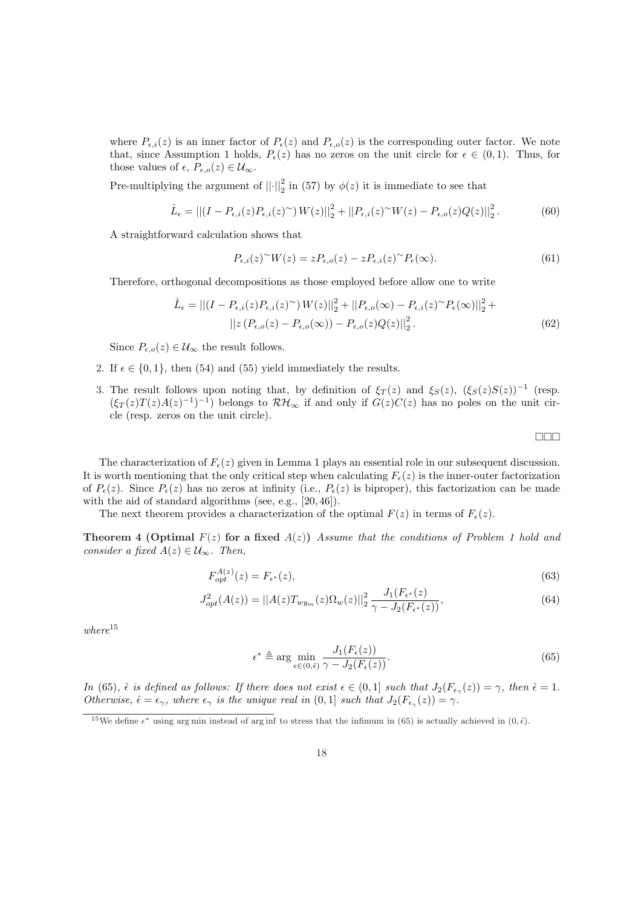where  $P_{\epsilon,i}(z)$  is an inner factor of  $P_{\epsilon}(z)$  and  $P_{\epsilon,0}(z)$  is the corresponding outer factor. We note that, since Assumption 1 holds,  $P_{\epsilon}(z)$  has no zeros on the unit circle for  $\epsilon \in (0,1)$ . Thus, for those values of  $\epsilon$ ,  $P_{\epsilon,o}(z) \in \mathcal{U}_{\infty}$ .

Pre-multiplying the argument of  $||\cdot||_2^2$  in (57) by  $\phi(z)$  it is immediate to see that

$$
\hat{L}_{\epsilon} = || (I - P_{\epsilon,i}(z)P_{\epsilon,i}(z)^{\sim}) W(z)||_2^2 + ||P_{\epsilon,i}(z)^{\sim} W(z) - P_{\epsilon,o}(z)Q(z)||_2^2.
$$
 (60)

A straightforward calculation shows that

$$
P_{\epsilon,i}(z)^{\sim}W(z) = zP_{\epsilon,o}(z) - zP_{\epsilon,i}(z)^{\sim}P_{\epsilon}(\infty). \tag{61}
$$

Therefore, orthogonal decompositions as those employed before allow one to write

$$
\hat{L}_{\epsilon} = || (I - P_{\epsilon,i}(z)P_{\epsilon,i}(z)^{\sim}) W(z)||_2^2 + ||P_{\epsilon,o}(\infty) - P_{\epsilon,i}(z)^{\sim} P_{\epsilon}(\infty)||_2^2 + ||z(P_{\epsilon,o}(z) - P_{\epsilon,o}(\infty)) - P_{\epsilon,o}(z)Q(z)||_2^2.
$$
\n(62)

Since  $P_{\epsilon,o}(z) \in \mathcal{U}_{\infty}$  the result follows.

- 2. If  $\epsilon \in \{0, 1\}$ , then (54) and (55) yield immediately the results.
- 3. The result follows upon noting that, by definition of  $\xi_T(z)$  and  $\xi_S(z)$ ,  $(\xi_S(z)S(z))^{-1}$  (resp.  $(\xi_T(z)T(z)A(z)^{-1})^{-1}$  belongs to  $\mathcal{RH}_{\infty}$  if and only if  $G(z)C(z)$  has no poles on the unit circle (resp. zeros on the unit circle).

¤¤¤

The characterization of  $F_{\epsilon}(z)$  given in Lemma 1 plays an essential role in our subsequent discussion. It is worth mentioning that the only critical step when calculating  $F_{\epsilon}(z)$  is the inner-outer factorization of  $P_{\epsilon}(z)$ . Since  $P_{\epsilon}(z)$  has no zeros at infinity (i.e.,  $P_{\epsilon}(z)$  is biproper), this factorization can be made with the aid of standard algorithms (see, e.g., [20, 46]).

The next theorem provides a characterization of the optimal  $F(z)$  in terms of  $F_{\epsilon}(z)$ .

Theorem 4 (Optimal  $F(z)$  for a fixed  $A(z)$ ) Assume that the conditions of Problem 1 hold and consider a fixed  $A(z) \in \mathcal{U}_{\infty}$ . Then,

$$
F_{opt}^{A(z)}(z) = F_{\epsilon^*}(z),
$$
\n(63)

$$
J_{opt}^2(A(z)) = ||A(z)T_{wy_m}(z)\Omega_w(z)||_2^2 \frac{J_1(F_{\epsilon^*}(z))}{\gamma - J_2(F_{\epsilon^*}(z))},\tag{64}
$$

 $where$ <sup>15</sup>

$$
\epsilon^* \triangleq \arg\min_{\epsilon \in (0,\hat{\epsilon})} \frac{J_1(F_{\epsilon}(z))}{\gamma - J_2(F_{\epsilon}(z))}.\tag{65}
$$

In (65),  $\hat{\epsilon}$  is defined as follows: If there does not exist  $\epsilon \in (0,1]$  such that  $J_2(F_{\epsilon_\gamma}(z)) = \gamma$ , then  $\hat{\epsilon} = 1$ . Otherwise,  $\hat{\epsilon} = \epsilon_{\gamma}$ , where  $\epsilon_{\gamma}$  is the unique real in  $(0, 1]$  such that  $J_2(F_{\epsilon_{\gamma}}(z)) = \gamma$ .

<sup>&</sup>lt;sup>15</sup>We define  $\epsilon^*$  using arg min instead of arg inf to stress that the infimum in (65) is actually achieved in  $(0, \hat{\epsilon})$ .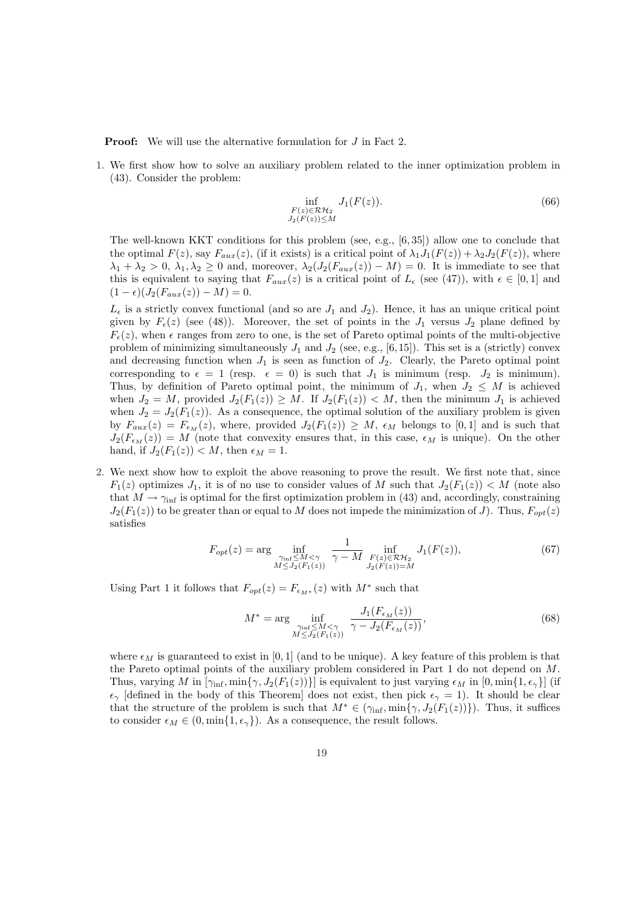**Proof:** We will use the alternative formulation for J in Fact 2.

1. We first show how to solve an auxiliary problem related to the inner optimization problem in (43). Consider the problem:

$$
\inf_{\substack{F(z)\in\mathcal{RH}_2\\J_2(F(z))\leq M}} J_1(F(z)).\tag{66}
$$

The well-known KKT conditions for this problem (see, e.g., [6, 35]) allow one to conclude that the optimal  $F(z)$ , say  $F_{aux}(z)$ , (if it exists) is a critical point of  $\lambda_1 J_1(F(z)) + \lambda_2 J_2(F(z))$ , where  $\lambda_1 + \lambda_2 > 0$ ,  $\lambda_1, \lambda_2 \geq 0$  and, moreover,  $\lambda_2(J_2(F_{aux}(z)) - M) = 0$ . It is immediate to see that this is equivalent to saying that  $F_{aux}(z)$  is a critical point of  $L_{\epsilon}$  (see (47)), with  $\epsilon \in [0,1]$  and  $(1 - \epsilon)(J_2(F_{aux}(z)) - M) = 0.$ 

 $L_{\epsilon}$  is a strictly convex functional (and so are  $J_1$  and  $J_2$ ). Hence, it has an unique critical point given by  $F_{\epsilon}(z)$  (see (48)). Moreover, the set of points in the  $J_1$  versus  $J_2$  plane defined by  $F_{\epsilon}(z)$ , when  $\epsilon$  ranges from zero to one, is the set of Pareto optimal points of the multi-objective problem of minimizing simultaneously  $J_1$  and  $J_2$  (see, e.g., [6,15]). This set is a (strictly) convex and decreasing function when  $J_1$  is seen as function of  $J_2$ . Clearly, the Pareto optimal point corresponding to  $\epsilon = 1$  (resp.  $\epsilon = 0$ ) is such that  $J_1$  is minimum (resp.  $J_2$  is minimum). Thus, by definition of Pareto optimal point, the minimum of  $J_1$ , when  $J_2 \leq M$  is achieved when  $J_2 = M$ , provided  $J_2(F_1(z)) \geq M$ . If  $J_2(F_1(z)) \leq M$ , then the minimum  $J_1$  is achieved when  $J_2 = J_2(F_1(z))$ . As a consequence, the optimal solution of the auxiliary problem is given by  $F_{aux}(z) = F_{\epsilon_M}(z)$ , where, provided  $J_2(F_1(z)) \geq M$ ,  $\epsilon_M$  belongs to [0, 1] and is such that  $J_2(F_{\epsilon_M}(z)) = M$  (note that convexity ensures that, in this case,  $\epsilon_M$  is unique). On the other hand, if  $J_2(F_1(z)) < M$ , then  $\epsilon_M = 1$ .

2. We next show how to exploit the above reasoning to prove the result. We first note that, since  $F_1(z)$  optimizes  $J_1$ , it is of no use to consider values of M such that  $J_2(F_1(z)) < M$  (note also that  $M \to \gamma_{\rm inf}$  is optimal for the first optimization problem in (43) and, accordingly, constraining  $J_2(F_1(z))$  to be greater than or equal to M does not impede the minimization of J). Thus,  $F_{opt}(z)$ satisfies

$$
F_{opt}(z) = \arg\inf_{\substack{\gamma_{\inf} \le M < \gamma \\ M \le J_2(F_1(z))}} \frac{1}{\gamma - M} \inf_{\substack{F(z) \in \mathcal{RH}_2 \\ J_2(F(z)) = M}} J_1(F(z)),\tag{67}
$$

Using Part 1 it follows that  $F_{opt}(z) = F_{\epsilon_{M^*}}(z)$  with  $M^*$  such that

$$
M^* = \arg\inf_{\substack{\gamma_{\rm inf} \le M < \gamma \\ M \le J_2(F_1(z))}} \frac{J_1(F_{\epsilon_M}(z))}{\gamma - J_2(F_{\epsilon_M}(z))},\tag{68}
$$

where  $\epsilon_M$  is guaranteed to exist in [0, 1] (and to be unique). A key feature of this problem is that the Pareto optimal points of the auxiliary problem considered in Part 1 do not depend on M. Thus, varying M in  $[\gamma_{\text{inf}}, \min{\gamma, J_2(F_1(z))}]$  is equivalent to just varying  $\epsilon_M$  in  $[0, \min{1, \epsilon_\gamma}]$  (if  $\epsilon_{\gamma}$  [defined in the body of this Theorem] does not exist, then pick  $\epsilon_{\gamma} = 1$ ). It should be clear that the structure of the problem is such that  $M^* \in (\gamma_{\text{inf}}, \min\{\gamma, J_2(F_1(z))\})$ . Thus, it suffices to consider  $\epsilon_M \in (0, \min\{1, \epsilon_\gamma\})$ . As a consequence, the result follows.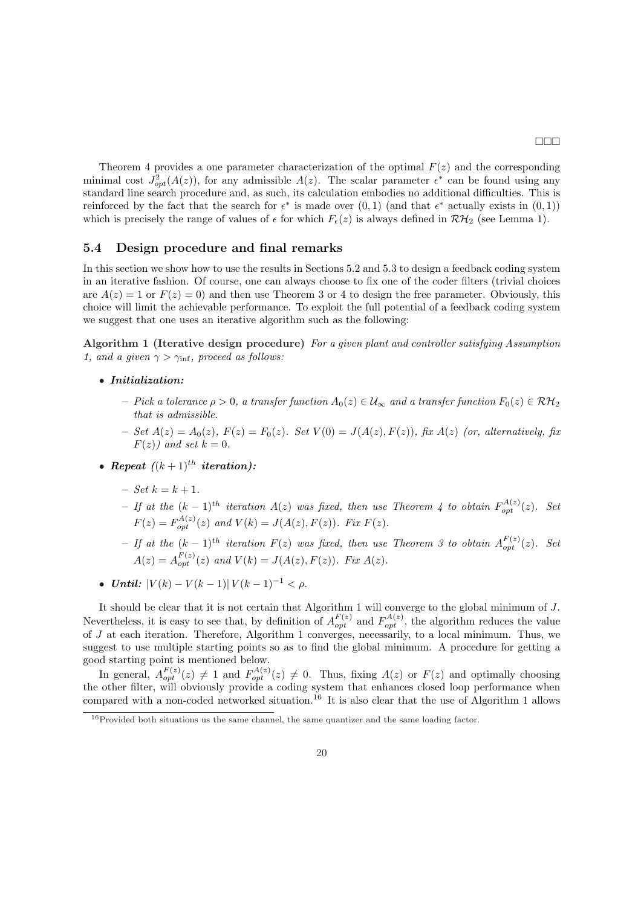Theorem 4 provides a one parameter characterization of the optimal  $F(z)$  and the corresponding minimal cost  $J_{opt}^2(A(z))$ , for any admissible  $A(z)$ . The scalar parameter  $\epsilon^*$  can be found using any standard line search procedure and, as such, its calculation embodies no additional difficulties. This is reinforced by the fact that the search for  $\epsilon^*$  is made over  $(0,1)$  (and that  $\epsilon^*$  actually exists in  $(0,1)$ ) which is precisely the range of values of  $\epsilon$  for which  $F_{\epsilon}(z)$  is always defined in  $\mathcal{RH}_2$  (see Lemma 1).

#### 5.4 Design procedure and final remarks

In this section we show how to use the results in Sections 5.2 and 5.3 to design a feedback coding system in an iterative fashion. Of course, one can always choose to fix one of the coder filters (trivial choices are  $A(z) = 1$  or  $F(z) = 0$ ) and then use Theorem 3 or 4 to design the free parameter. Obviously, this choice will limit the achievable performance. To exploit the full potential of a feedback coding system we suggest that one uses an iterative algorithm such as the following:

Algorithm 1 (Iterative design procedure) For a given plant and controller satisfying Assumption 1, and a given  $\gamma > \gamma_{\text{inf}}$ , proceed as follows:

- Initialization:
	- Pick a tolerance  $\rho > 0$ , a transfer function  $A_0(z) \in \mathcal{U}_{\infty}$  and a transfer function  $F_0(z) \in \mathcal{RH}_2$ that is admissible.
	- Set  $A(z) = A_0(z)$ ,  $F(z) = F_0(z)$ . Set  $V(0) = J(A(z), F(z))$ , fix  $A(z)$  (or, alternatively, fix  $F(z)$ ) and set  $k = 0$ .
- Repeat  $((k+1)^{th}$  iteration):
	- $-$  Set  $k = k + 1$ .
	- $-$  If at the  $(k-1)$ <sup>th</sup> iteration  $A(z)$  was fixed, then use Theorem 4 to obtain  $F_{opt}^{A(z)}(z)$ . Set  $F(z) = F_{opt}^{A(z)}(z)$  and  $V(k) = J(A(z), F(z))$ . Fix  $F(z)$ .
	- $-$  If at the  $(k-1)$ <sup>th</sup> iteration  $F(z)$  was fixed, then use Theorem 3 to obtain  $A_{opt}^{F(z)}(z)$ . Set  $A(z) = A_{opt}^{F(z)}(z)$  and  $V(k) = J(A(z), F(z))$ . Fix  $A(z)$ .
- Until:  $|V(k) V(k-1)| V(k-1)^{-1} < \rho$ .

It should be clear that it is not certain that Algorithm 1 will converge to the global minimum of J. Nevertheless, it is easy to see that, by definition of  $A_{opt}^{F(z)}$  and  $F_{opt}^{A(z)}$ , the algorithm reduces the value of J at each iteration. Therefore, Algorithm 1 converges, necessarily, to a local minimum. Thus, we suggest to use multiple starting points so as to find the global minimum. A procedure for getting a good starting point is mentioned below.

In general,  $A_{opt}^{F(z)}(z) \neq 1$  and  $F_{opt}^{A(z)}(z) \neq 0$ . Thus, fixing  $A(z)$  or  $F(z)$  and optimally choosing the other filter, will obviously provide a coding system that enhances closed loop performance when compared with a non-coded networked situation.<sup>16</sup> It is also clear that the use of Algorithm 1 allows

<sup>&</sup>lt;sup>16</sup>Provided both situations us the same channel, the same quantizer and the same loading factor.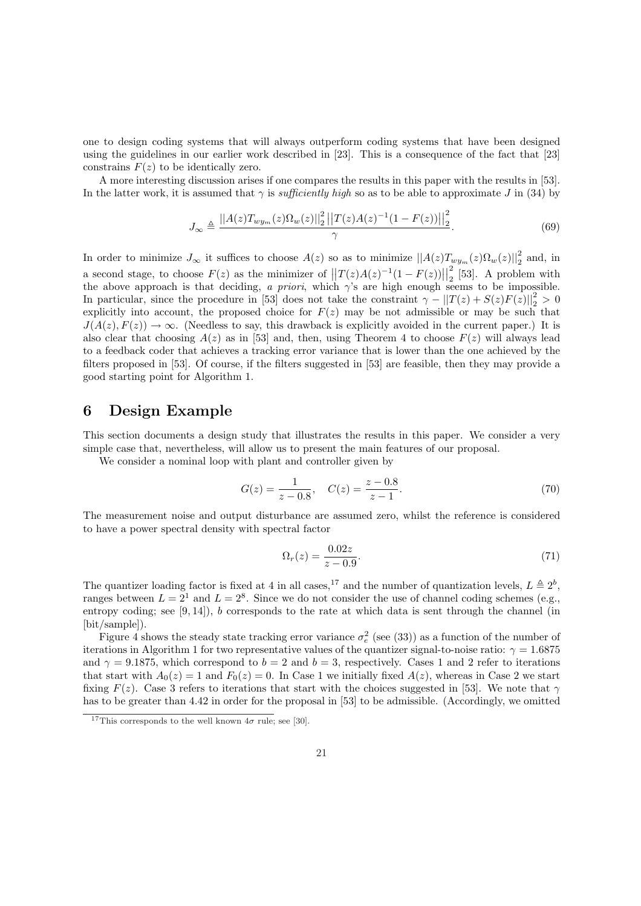one to design coding systems that will always outperform coding systems that have been designed using the guidelines in our earlier work described in [23]. This is a consequence of the fact that [23] constrains  $F(z)$  to be identically zero.

A more interesting discussion arises if one compares the results in this paper with the results in [53]. In the latter work, it is assumed that  $\gamma$  is *sufficiently high* so as to be able to approximate J in (34) by

$$
J_{\infty} \triangleq \frac{||A(z)T_{wy_m}(z)\Omega_w(z)||_2^2||T(z)A(z)^{-1}(1-F(z))||_2^2}{\gamma}.
$$
\n(69)

In order to minimize  $J_{\infty}$  it suffices to choose  $A(z)$  so as to minimize  $||A(z)T_{wy_m}(z)\Omega_w(z)||_2^2$  and, in a second stage, to choose  $F(z)$  as the minimizer of  $||T(z)A(z)^{-1}(1-F(z))||_2^2$  $\frac{2}{2}$  [53]. A problem with the above approach is that deciding, a priori, which  $\gamma$ 's are high enough seems to be impossible. In particular, since the procedure in [53] does not take the constraint  $\gamma - ||T(z) + S(z)F(z)||_2^2 > 0$ explicitly into account, the proposed choice for  $F(z)$  may be not admissible or may be such that  $J(A(z), F(z)) \to \infty$ . (Needless to say, this drawback is explicitly avoided in the current paper.) It is also clear that choosing  $A(z)$  as in [53] and, then, using Theorem 4 to choose  $F(z)$  will always lead to a feedback coder that achieves a tracking error variance that is lower than the one achieved by the filters proposed in [53]. Of course, if the filters suggested in [53] are feasible, then they may provide a good starting point for Algorithm 1.

### 6 Design Example

This section documents a design study that illustrates the results in this paper. We consider a very simple case that, nevertheless, will allow us to present the main features of our proposal.

We consider a nominal loop with plant and controller given by

$$
G(z) = \frac{1}{z - 0.8}, \quad C(z) = \frac{z - 0.8}{z - 1}.
$$
\n(70)

The measurement noise and output disturbance are assumed zero, whilst the reference is considered to have a power spectral density with spectral factor

$$
\Omega_r(z) = \frac{0.02z}{z - 0.9}.\tag{71}
$$

The quantizer loading factor is fixed at 4 in all cases,<sup>17</sup> and the number of quantization levels,  $L \triangleq 2^b$ , ranges between  $L = 2<sup>1</sup>$  and  $L = 2<sup>8</sup>$ . Since we do not consider the use of channel coding schemes (e.g., entropy coding; see  $(9, 14)$ , b corresponds to the rate at which data is sent through the channel (in [bit/sample]).

Figure 4 shows the steady state tracking error variance  $\sigma_e^2$  (see (33)) as a function of the number of iterations in Algorithm 1 for two representative values of the quantizer signal-to-noise ratio:  $\gamma = 1.6875$ and  $\gamma = 9.1875$ , which correspond to  $b = 2$  and  $b = 3$ , respectively. Cases 1 and 2 refer to iterations that start with  $A_0(z) = 1$  and  $F_0(z) = 0$ . In Case 1 we initially fixed  $A(z)$ , whereas in Case 2 we start fixing  $F(z)$ . Case 3 refers to iterations that start with the choices suggested in [53]. We note that  $\gamma$ has to be greater than 4.42 in order for the proposal in [53] to be admissible. (Accordingly, we omitted

<sup>&</sup>lt;sup>17</sup>This corresponds to the well known  $4\sigma$  rule; see [30].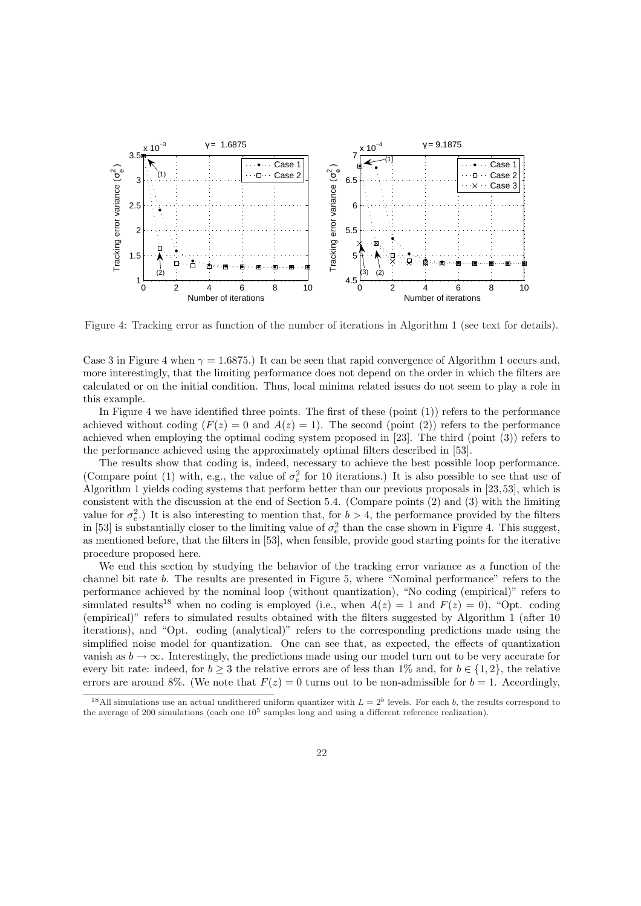

Figure 4: Tracking error as function of the number of iterations in Algorithm 1 (see text for details).

Case 3 in Figure 4 when  $\gamma = 1.6875$ .) It can be seen that rapid convergence of Algorithm 1 occurs and, more interestingly, that the limiting performance does not depend on the order in which the filters are calculated or on the initial condition. Thus, local minima related issues do not seem to play a role in this example.

In Figure 4 we have identified three points. The first of these (point  $(1)$ ) refers to the performance achieved without coding  $(F(z) = 0$  and  $A(z) = 1)$ . The second (point (2)) refers to the performance achieved when employing the optimal coding system proposed in [23]. The third (point (3)) refers to the performance achieved using the approximately optimal filters described in [53].

The results show that coding is, indeed, necessary to achieve the best possible loop performance. (Compare point (1) with, e.g., the value of  $\sigma_e^2$  for 10 iterations.) It is also possible to see that use of Algorithm 1 yields coding systems that perform better than our previous proposals in [23,53], which is consistent with the discussion at the end of Section 5.4. (Compare points (2) and (3) with the limiting value for  $\sigma_e^2$ .) It is also interesting to mention that, for  $b > 4$ , the performance provided by the filters in [53] is substantially closer to the limiting value of  $\sigma_e^2$  than the case shown in Figure 4. This suggest, as mentioned before, that the filters in [53], when feasible, provide good starting points for the iterative procedure proposed here.

We end this section by studying the behavior of the tracking error variance as a function of the channel bit rate b. The results are presented in Figure 5, where "Nominal performance" refers to the performance achieved by the nominal loop (without quantization), "No coding (empirical)" refers to simulated results<sup>18</sup> when no coding is employed (i.e., when  $A(z) = 1$  and  $F(z) = 0$ ), "Opt. coding (empirical)" refers to simulated results obtained with the filters suggested by Algorithm 1 (after 10 iterations), and "Opt. coding (analytical)" refers to the corresponding predictions made using the simplified noise model for quantization. One can see that, as expected, the effects of quantization vanish as  $b \to \infty$ . Interestingly, the predictions made using our model turn out to be very accurate for every bit rate: indeed, for  $b \geq 3$  the relative errors are of less than 1% and, for  $b \in \{1,2\}$ , the relative errors are around 8%. (We note that  $F(z) = 0$  turns out to be non-admissible for  $b = 1$ . Accordingly,

<sup>&</sup>lt;sup>18</sup>All simulations use an actual undithered uniform quantizer with  $L = 2<sup>b</sup>$  levels. For each b, the results correspond to the average of 200 simulations (each one  $10^5$  samples long and using a different reference realization).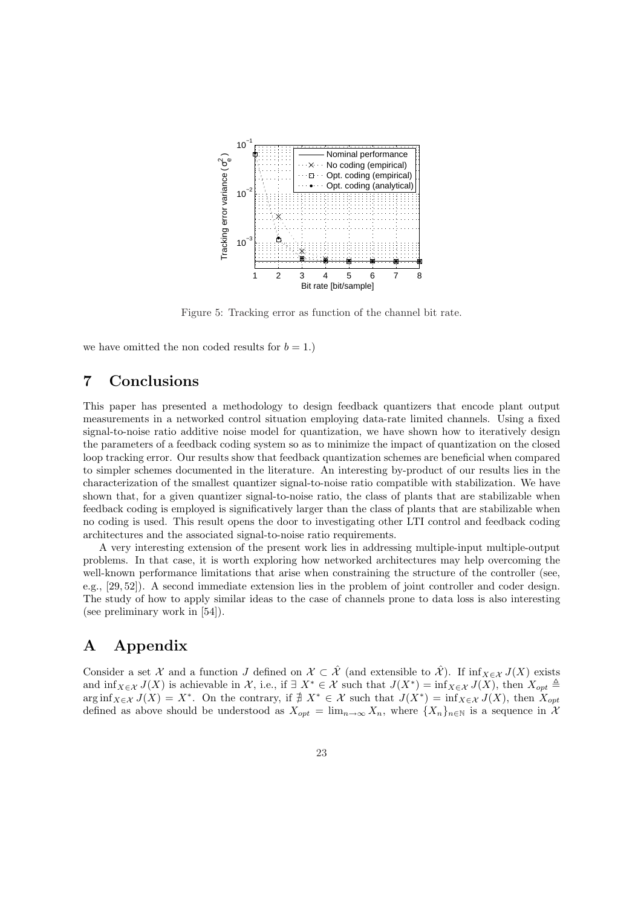

Figure 5: Tracking error as function of the channel bit rate.

we have omitted the non coded results for  $b = 1$ .)

## 7 Conclusions

This paper has presented a methodology to design feedback quantizers that encode plant output measurements in a networked control situation employing data-rate limited channels. Using a fixed signal-to-noise ratio additive noise model for quantization, we have shown how to iteratively design the parameters of a feedback coding system so as to minimize the impact of quantization on the closed loop tracking error. Our results show that feedback quantization schemes are beneficial when compared to simpler schemes documented in the literature. An interesting by-product of our results lies in the characterization of the smallest quantizer signal-to-noise ratio compatible with stabilization. We have shown that, for a given quantizer signal-to-noise ratio, the class of plants that are stabilizable when feedback coding is employed is significatively larger than the class of plants that are stabilizable when no coding is used. This result opens the door to investigating other LTI control and feedback coding architectures and the associated signal-to-noise ratio requirements.

A very interesting extension of the present work lies in addressing multiple-input multiple-output problems. In that case, it is worth exploring how networked architectures may help overcoming the well-known performance limitations that arise when constraining the structure of the controller (see, e.g., [29, 52]). A second immediate extension lies in the problem of joint controller and coder design. The study of how to apply similar ideas to the case of channels prone to data loss is also interesting (see preliminary work in [54]).

## A Appendix

Consider a set X and a function J defined on  $\mathcal{X} \subset \hat{\mathcal{X}}$  (and extensible to  $\hat{\mathcal{X}}$ ). If inf $\chi \in \mathcal{X}$  J(X) exists and  $\inf_{X \in \mathcal{X}} J(X)$  is achievable in X, i.e., if  $\exists X^* \in \mathcal{X}$  such that  $J(X^*) = \inf_{X \in \mathcal{X}} J(X)$ , then  $X_{opt} \triangleq$  $\arg \inf_{X \in \mathcal{X}} J(X) = X^*$ . On the contrary, if  $\# X^* \in \mathcal{X}$  such that  $J(X^*) = \inf_{X \in \mathcal{X}} J(X)$ , then  $X_{opt}$ defined as above should be understood as  $X_{opt} = \lim_{n\to\infty} X_n$ , where  $\{X_n\}_{n\in\mathbb{N}}$  is a sequence in  $\mathcal{X}$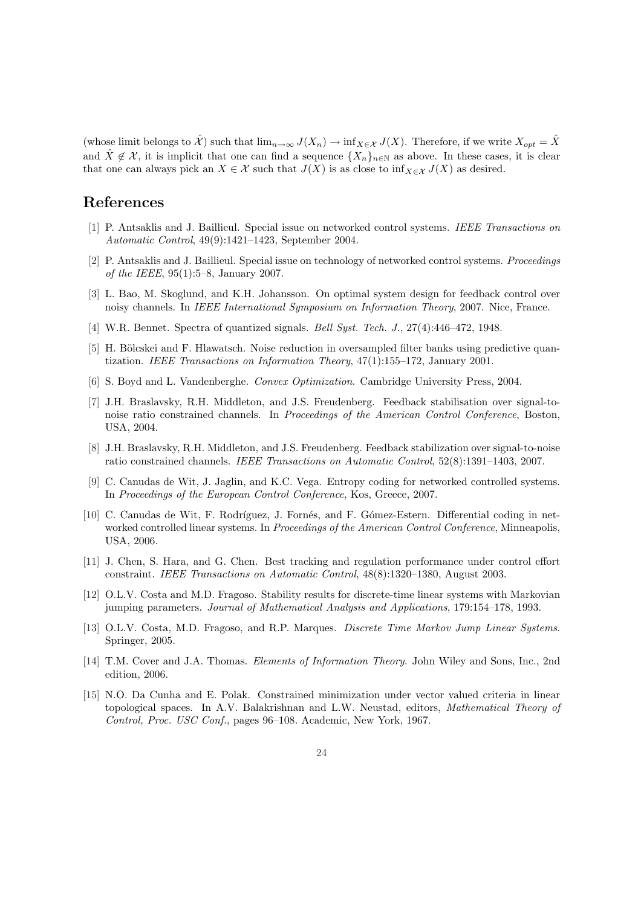(whose limit belongs to  $\hat{\mathcal{X}}$ ) such that  $\lim_{n\to\infty} J(X_n) \to \inf_{X \in \mathcal{X}} J(X)$ . Therefore, if we write  $X_{opt} = \hat{X}$ and  $\hat{X} \notin \mathcal{X}$ , it is implicit that one can find a sequence  $\{X_n\}_{n\in\mathbb{N}}$  as above. In these cases, it is clear that one can always pick an  $X \in \mathcal{X}$  such that  $J(X)$  is as close to inf $\chi \in \mathcal{X}$  J(X) as desired.

### References

- [1] P. Antsaklis and J. Baillieul. Special issue on networked control systems. IEEE Transactions on Automatic Control, 49(9):1421–1423, September 2004.
- [2] P. Antsaklis and J. Baillieul. Special issue on technology of networked control systems. Proceedings of the IEEE, 95(1):5–8, January 2007.
- [3] L. Bao, M. Skoglund, and K.H. Johansson. On optimal system design for feedback control over noisy channels. In IEEE International Symposium on Information Theory, 2007. Nice, France.
- [4] W.R. Bennet. Spectra of quantized signals. Bell Syst. Tech. J., 27(4):446–472, 1948.
- [5] H. Bölcskei and F. Hlawatsch. Noise reduction in oversampled filter banks using predictive quantization. IEEE Transactions on Information Theory, 47(1):155–172, January 2001.
- [6] S. Boyd and L. Vandenberghe. Convex Optimization. Cambridge University Press, 2004.
- [7] J.H. Braslavsky, R.H. Middleton, and J.S. Freudenberg. Feedback stabilisation over signal-tonoise ratio constrained channels. In Proceedings of the American Control Conference, Boston, USA, 2004.
- [8] J.H. Braslavsky, R.H. Middleton, and J.S. Freudenberg. Feedback stabilization over signal-to-noise ratio constrained channels. IEEE Transactions on Automatic Control, 52(8):1391–1403, 2007.
- [9] C. Canudas de Wit, J. Jaglin, and K.C. Vega. Entropy coding for networked controlled systems. In Proceedings of the European Control Conference, Kos, Greece, 2007.
- [10] C. Canudas de Wit, F. Rodríguez, J. Fornés, and F. Gómez-Estern. Differential coding in networked controlled linear systems. In Proceedings of the American Control Conference, Minneapolis, USA, 2006.
- [11] J. Chen, S. Hara, and G. Chen. Best tracking and regulation performance under control effort constraint. IEEE Transactions on Automatic Control, 48(8):1320–1380, August 2003.
- [12] O.L.V. Costa and M.D. Fragoso. Stability results for discrete-time linear systems with Markovian jumping parameters. Journal of Mathematical Analysis and Applications, 179:154–178, 1993.
- [13] O.L.V. Costa, M.D. Fragoso, and R.P. Marques. *Discrete Time Markov Jump Linear Systems*. Springer, 2005.
- [14] T.M. Cover and J.A. Thomas. Elements of Information Theory. John Wiley and Sons, Inc., 2nd edition, 2006.
- [15] N.O. Da Cunha and E. Polak. Constrained minimization under vector valued criteria in linear topological spaces. In A.V. Balakrishnan and L.W. Neustad, editors, Mathematical Theory of Control, Proc. USC Conf., pages 96–108. Academic, New York, 1967.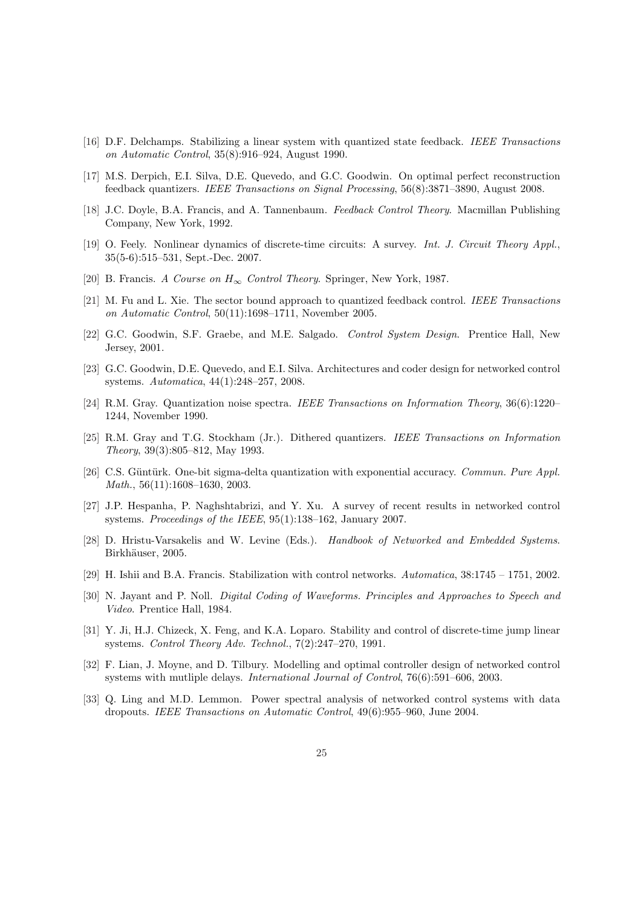- [16] D.F. Delchamps. Stabilizing a linear system with quantized state feedback. IEEE Transactions on Automatic Control, 35(8):916–924, August 1990.
- [17] M.S. Derpich, E.I. Silva, D.E. Quevedo, and G.C. Goodwin. On optimal perfect reconstruction feedback quantizers. IEEE Transactions on Signal Processing, 56(8):3871–3890, August 2008.
- [18] J.C. Doyle, B.A. Francis, and A. Tannenbaum. Feedback Control Theory. Macmillan Publishing Company, New York, 1992.
- [19] O. Feely. Nonlinear dynamics of discrete-time circuits: A survey. Int. J. Circuit Theory Appl., 35(5-6):515–531, Sept.-Dec. 2007.
- [20] B. Francis. A Course on  $H_{\infty}$  Control Theory. Springer, New York, 1987.
- [21] M. Fu and L. Xie. The sector bound approach to quantized feedback control. IEEE Transactions on Automatic Control, 50(11):1698–1711, November 2005.
- [22] G.C. Goodwin, S.F. Graebe, and M.E. Salgado. Control System Design. Prentice Hall, New Jersey, 2001.
- [23] G.C. Goodwin, D.E. Quevedo, and E.I. Silva. Architectures and coder design for networked control systems. Automatica, 44(1):248–257, 2008.
- [24] R.M. Gray. Quantization noise spectra. IEEE Transactions on Information Theory, 36(6):1220– 1244, November 1990.
- [25] R.M. Gray and T.G. Stockham (Jr.). Dithered quantizers. IEEE Transactions on Information Theory, 39(3):805–812, May 1993.
- [26] C.S. Güntürk. One-bit sigma-delta quantization with exponential accuracy. Commun. Pure Appl. Math., 56(11):1608–1630, 2003.
- [27] J.P. Hespanha, P. Naghshtabrizi, and Y. Xu. A survey of recent results in networked control systems. Proceedings of the IEEE, 95(1):138–162, January 2007.
- [28] D. Hristu-Varsakelis and W. Levine (Eds.). Handbook of Networked and Embedded Systems. Birkhäuser, 2005.
- [29] H. Ishii and B.A. Francis. Stabilization with control networks. Automatica, 38:1745 1751, 2002.
- [30] N. Jayant and P. Noll. Digital Coding of Waveforms. Principles and Approaches to Speech and Video. Prentice Hall, 1984.
- [31] Y. Ji, H.J. Chizeck, X. Feng, and K.A. Loparo. Stability and control of discrete-time jump linear systems. Control Theory Adv. Technol., 7(2):247–270, 1991.
- [32] F. Lian, J. Moyne, and D. Tilbury. Modelling and optimal controller design of networked control systems with mutliple delays. International Journal of Control, 76(6):591–606, 2003.
- [33] Q. Ling and M.D. Lemmon. Power spectral analysis of networked control systems with data dropouts. IEEE Transactions on Automatic Control, 49(6):955–960, June 2004.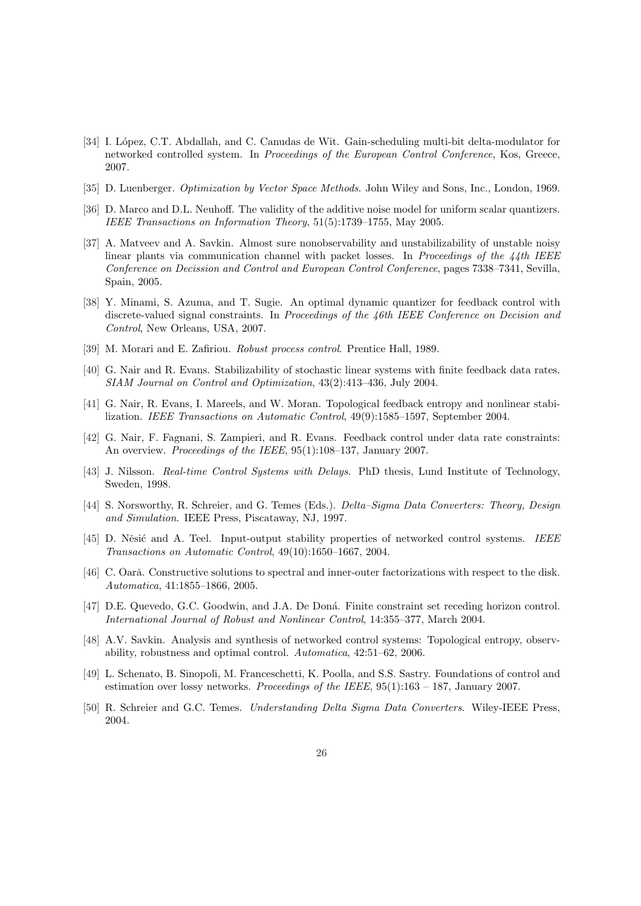- [34] I. López, C.T. Abdallah, and C. Canudas de Wit. Gain-scheduling multi-bit delta-modulator for networked controlled system. In Proceedings of the European Control Conference, Kos, Greece, 2007.
- [35] D. Luenberger. Optimization by Vector Space Methods. John Wiley and Sons, Inc., London, 1969.
- [36] D. Marco and D.L. Neuhoff. The validity of the additive noise model for uniform scalar quantizers. IEEE Transactions on Information Theory, 51(5):1739–1755, May 2005.
- [37] A. Matveev and A. Savkin. Almost sure nonobservability and unstabilizability of unstable noisy linear plants via communication channel with packet losses. In Proceedings of the  $\frac{1}{4}$ th IEEE Conference on Decission and Control and European Control Conference, pages 7338–7341, Sevilla, Spain, 2005.
- [38] Y. Minami, S. Azuma, and T. Sugie. An optimal dynamic quantizer for feedback control with discrete-valued signal constraints. In Proceedings of the 46th IEEE Conference on Decision and Control, New Orleans, USA, 2007.
- [39] M. Morari and E. Zafiriou. Robust process control. Prentice Hall, 1989.
- [40] G. Nair and R. Evans. Stabilizability of stochastic linear systems with finite feedback data rates. SIAM Journal on Control and Optimization, 43(2):413–436, July 2004.
- [41] G. Nair, R. Evans, I. Mareels, and W. Moran. Topological feedback entropy and nonlinear stabilization. IEEE Transactions on Automatic Control, 49(9):1585–1597, September 2004.
- [42] G. Nair, F. Fagnani, S. Zampieri, and R. Evans. Feedback control under data rate constraints: An overview. Proceedings of the IEEE, 95(1):108-137, January 2007.
- [43] J. Nilsson. Real-time Control Systems with Delays. PhD thesis, Lund Institute of Technology, Sweden, 1998.
- [44] S. Norsworthy, R. Schreier, and G. Temes (Eds.). Delta–Sigma Data Converters: Theory, Design and Simulation. IEEE Press, Piscataway, NJ, 1997.
- [45] D. Něsić and A. Teel. Input-output stability properties of networked control systems. IEEE Transactions on Automatic Control, 49(10):1650–1667, 2004.
- [46] C. Oară. Constructive solutions to spectral and inner-outer factorizations with respect to the disk. Automatica, 41:1855–1866, 2005.
- [47] D.E. Quevedo, G.C. Goodwin, and J.A. De Doná. Finite constraint set receding horizon control. International Journal of Robust and Nonlinear Control, 14:355–377, March 2004.
- [48] A.V. Savkin. Analysis and synthesis of networked control systems: Topological entropy, observability, robustness and optimal control. Automatica, 42:51–62, 2006.
- [49] L. Schenato, B. Sinopoli, M. Franceschetti, K. Poolla, and S.S. Sastry. Foundations of control and estimation over lossy networks. Proceedings of the IEEE,  $95(1):163 - 187$ , January 2007.
- [50] R. Schreier and G.C. Temes. Understanding Delta Sigma Data Converters. Wiley-IEEE Press, 2004.